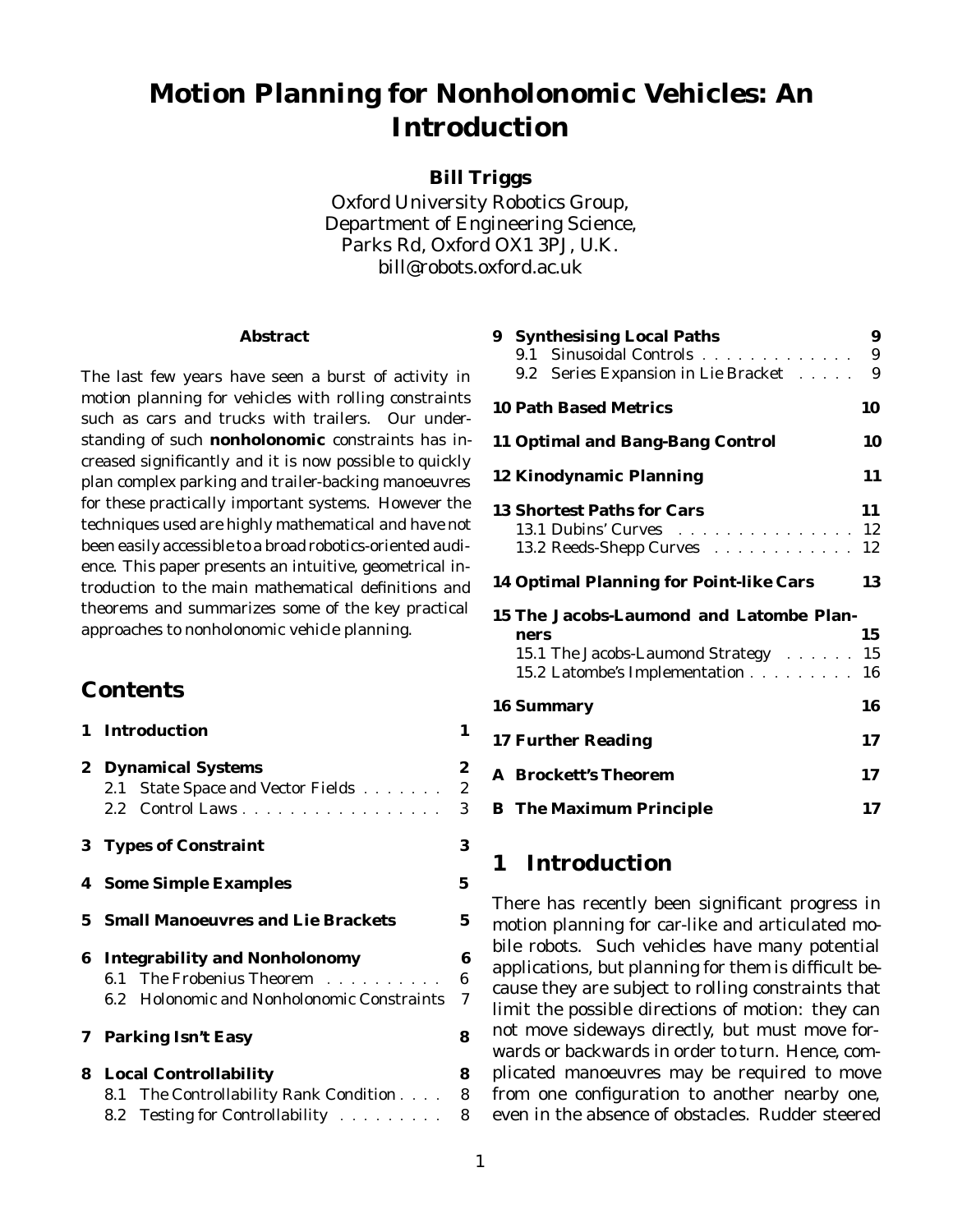# **Motion Planning for Nonholonomic Vehicles: An Introduction**

**Bill Triggs**

Oxford University Robotics Group, Department of Engineering Science, Parks Rd, Oxford OX1 3PJ, U.K. bill@robots.oxford.ac.uk

#### **Abstract**

The last few years have seen a burst of activity in motion planning for vehicles with rolling constraints such as cars and trucks with trailers. Our understanding of such **nonholonomic** constraints has increased significantly and it is now possible to quickly plan complex parking and trailer-backing manoeuvres for these practically important systems. However the techniques used are highly mathematical and have not been easily accessible to a broad robotics-oriented audience. This paper presents an intuitive, geometrical introduction to the main mathematical definitions and theorems and summarizes some of the key practical approaches to nonholonomic vehicle planning.

## **Contents**

|  | 1 Introduction                             | 1                |
|--|--------------------------------------------|------------------|
|  | 2 Dynamical Systems                        | $\boldsymbol{2}$ |
|  | 2.1 State Space and Vector Fields 2        |                  |
|  | 2.2 Control Laws                           | 3                |
|  | 3 Types of Constraint                      | 3                |
|  | <b>4</b> Some Simple Examples              | $\mathbf 5$      |
|  | <b>5</b> Small Manoeuvres and Lie Brackets | $\mathbf 5$      |
|  | <b>6 Integrability and Nonholonomy</b>     | 6                |
|  | 6.1 The Frobenius Theorem                  | $\boldsymbol{6}$ |
|  | 6.2 Holonomic and Nonholonomic Constraints | $\overline{7}$   |
|  | 7 Parking Isn't Easy                       | 8                |
|  | <b>8</b> Local Controllability             | 8                |
|  | 8.1 The Controllability Rank Condition 8   |                  |
|  | 8.2 Testing for Controllability            | 8                |

| 9 | <b>Synthesising Local Paths</b>                                                                             | 9  |
|---|-------------------------------------------------------------------------------------------------------------|----|
|   | 9.1 Sinusoidal Controls And Alexander State and Alexander State and Alexander State and Alexander State and | 9  |
|   | 9.2 Series Expansion in Lie Bracket                                                                         | 9  |
|   | <b>10 Path Based Metrics</b>                                                                                | 10 |
|   | <b>11 Optimal and Bang-Bang Control</b>                                                                     | 10 |
|   | <b>12 Kinodynamic Planning</b>                                                                              | 11 |
|   | <b>13 Shortest Paths for Cars</b>                                                                           | 11 |
|   | 13.1 Dubins' Curves 12                                                                                      |    |
|   | 13.2 Reeds-Shepp Curves Allen and Allen and Allen                                                           | 12 |
|   | <b>14 Optimal Planning for Point-like Cars</b>                                                              | 13 |
|   | 15 The Jacobs-Laumond and Latombe Plan-                                                                     |    |
|   | ners                                                                                                        | 15 |
|   | 15.1 The Jacobs-Laumond Strategy 15                                                                         |    |
|   | 15.2 Latombe's Implementation 16                                                                            |    |
|   | <b>16 Summary</b>                                                                                           | 16 |
|   | <b>17 Further Reading</b>                                                                                   | 17 |
|   | <b>A</b> Brockett's Theorem                                                                                 | 17 |
|   | <b>B</b> The Maximum Principle                                                                              | 17 |
|   |                                                                                                             |    |

## **1 Introduction**

There has recently been significant progress in motion planning for car-like and articulated mobile robots. Such vehicles have many potential applications, but planning for them is difficult because they are subject to rolling constraints that limit the possible directions of motion: they can not move sideways directly, but must move forwards or backwards in order to turn. Hence, complicated manoeuvres may be required to move from one configuration to another nearby one, even in the absence of obstacles. Rudder steered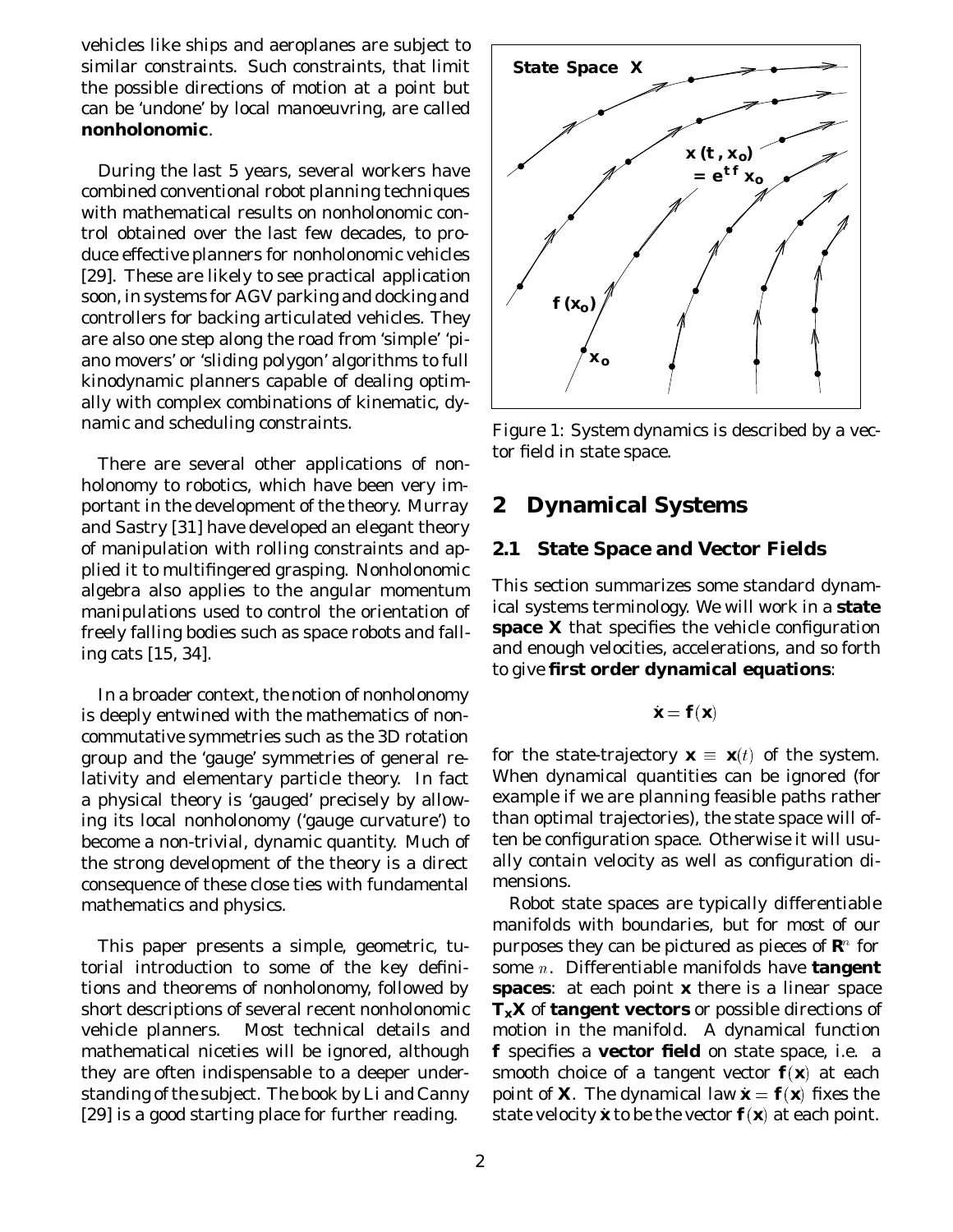vehicles like ships and aeroplanes are subject to similar constraints. Such constraints, that limit the possible directions of motion at a point but can be 'undone' by local manoeuvring, are called **nonholonomic**.

During the last 5 years, several workers have combined conventional robot planning techniques with mathematical results on nonholonomic control obtained over the last few decades, to produce effective planners for nonholonomic vehicles [29]. These are likely to see practical application soon, in systems for AGV parking and docking and controllers for backing articulated vehicles. They are also one step along the road from 'simple' 'piano movers' or 'sliding polygon' algorithms to full kinodynamic planners capable of dealing optimally with complex combinations of kinematic, dynamic and scheduling constraints.

There are several other applications of nonholonomy to robotics, which have been very important in the development of the theory. Murray and Sastry [31] have developed an elegant theory of manipulation with rolling constraints and applied it to multifingered grasping. Nonholonomic algebra also applies to the angular momentum manipulations used to control the orientation of freely falling bodies such as space robots and falling cats [15, 34].

In a broader context, the notion of nonholonomy is deeply entwined with the mathematics of noncommutative symmetries such as the 3D rotation group and the 'gauge' symmetries of general relativity and elementary particle theory. In fact a physical theory is 'gauged' precisely by allowing its local nonholonomy ('gauge curvature') to become a non-trivial, dynamic quantity. Much of the strong development of the theory is a direct consequence of these close ties with fundamental mathematics and physics.

This paper presents a simple, geometric, tutorial introduction to some of the key definitions and theorems of nonholonomy, followed by short descriptions of several recent nonholonomic vehicle planners. Most technical details and mathematical niceties will be ignored, although they are often indispensable to a deeper understanding of the subject. The book by Li and Canny [29] is a good starting place for further reading.



Figure 1: System dynamics is described by a vector field in state space.

### **2 Dynamical Systems**

### **2.1 State Space and Vector Fields**

This section summarizes some standard dynamical systems terminology. We will work in a **state space** *X* that specifies the vehicle configuration and enough velocities, accelerations, and so forth to give **first order dynamical equations**:

$$
\dot{\textit{\textbf{x}}}= \textit{\textbf{f}}(\textit{\textbf{x}})
$$

for the state-trajectory  $\mathbf{x} \equiv \mathbf{x}(t)$  of the system. When dynamical quantities can be ignored (for example if we are planning feasible paths rather than optimal trajectories), the state space will often be configuration space. Otherwise it will usually contain velocity as well as configuration dimensions.

Robot state spaces are typically differentiable manifolds with boundaries, but for most of our purposes they can be pictured as pieces of  $\boldsymbol{R}^{\!\scriptscriptstyle 0}$  for some <sup>n</sup>. Differentiable manifolds have **tangent spaces**: at each point *x* there is a linear space *TxX* of **tangent vectors** or possible directions of motion in the manifold. A dynamical function *f* specifies a **vector field** on state space, i.e. a smooth choice of a tangent vector  $f(x)$  at each point of *X*. The dynamical law  $\mathbf{x} = \mathbf{f}(\mathbf{x})$  fixes the state velocity x to be the vector  $f(x)$  at each point.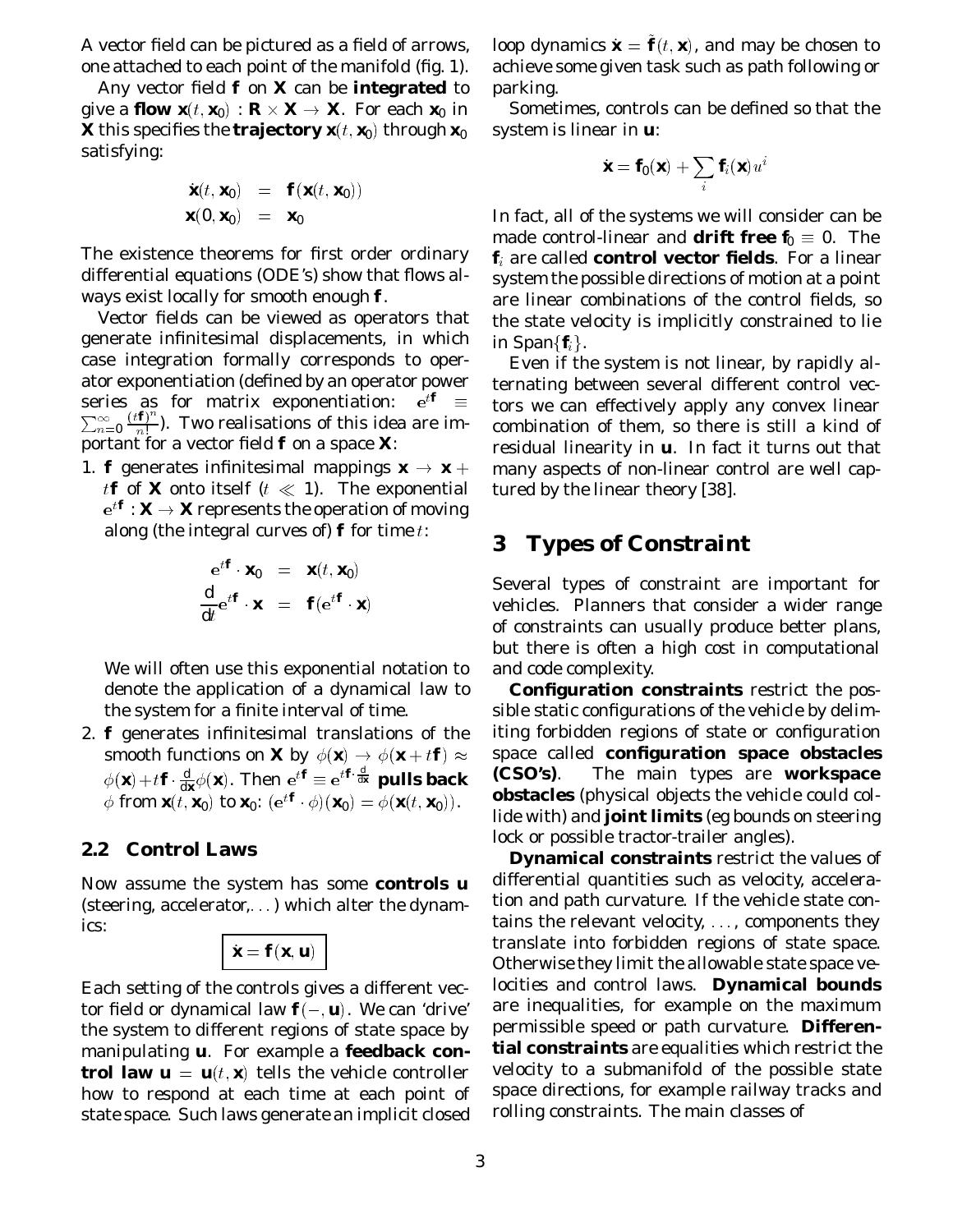A vector field can be pictured as a field of arrows, one attached to each point of the manifold (fig. 1).

Any vector field *f* on *X* can be **integrated** to give a **flow**  $\textbf{\textit{x}}(t,\textbf{\textit{x}}_0) : \textbf{\textit{R}} \times \textbf{\textit{X}} \rightarrow \textbf{\textit{X}}$ **.** For each  $\textbf{\textit{x}}_0$  in  $\boldsymbol{X}$  this specifies the  $\boldsymbol{\mathrm{trajectory}}\ \boldsymbol{x}(t,\boldsymbol{x_{0}})$  through  $\boldsymbol{x_{0}}$ satisfying:

$$
\dot{\mathbf{x}}(t, \mathbf{x}_0) = \mathbf{f}(\mathbf{x}(t, \mathbf{x}_0))
$$
  

$$
\mathbf{x}(0, \mathbf{x}_0) = \mathbf{x}_0
$$

The existence theorems for first order ordinary differential equations (ODE's) show that flows always exist locally for smooth enough *f*.

Vector fields can be viewed as operators that generate infinitesimal displacements, in which case integration formally corresponds to operator exponentiation (defined by an operator power series as for matrix exponentiation:  $e^{tf} \equiv$  $\sum_{n=0}^{\infty}\frac{(t\boldsymbol{f})^n}{n!}$ ). Two realisations of this idea are important for a vector field *f* on a space *X*:

1. *f* generates infinitesimal mappings  $\mathbf{x} \to \mathbf{x} + \mathbf{z}$ *tf* of *X* onto itself ( $t \ll 1$ ). The exponential  $e^{t\boldsymbol{f}}$  :  $\boldsymbol{X} \rightarrow \boldsymbol{X}$  represents the operation of moving along (the integral curves of)  $f$  for time t:

$$
\frac{e^{t\mathbf{f}} \cdot \mathbf{x}_0}{dt} = \mathbf{x}(t, \mathbf{x}_0)
$$

$$
\frac{d}{dt}e^{t\mathbf{f}} \cdot \mathbf{x} = \mathbf{f}(e^{t\mathbf{f}} \cdot \mathbf{x})
$$

We will often use this exponential notation to denote the application of a dynamical law to the system for a finite interval of time.

2. *f* generates infinitesimal translations of the smooth functions on *X* by  $\phi(\mathbf{x}) \to \phi(\mathbf{x} + t\mathbf{f}) \approx$  $\phi(\mathbf{x}) + t\mathbf{f} \cdot \frac{d}{dx} \phi(\mathbf{x})$ . Then  $e^{t\mathbf{f}} \equiv e^{t\mathbf{f} \cdot \frac{d}{dx}}$  pulls back  $\phi$  from  $\mathbf{x}(t, \mathbf{x}_0)$  to  $\mathbf{x}_0$ :  $(e^{t\mathbf{f}} \cdot \phi)(\mathbf{x}_0) = \phi(\mathbf{x}(t, \mathbf{x}_0)).$ 

#### **2.2 Control Laws**

Now assume the system has some **controls** *u* (steering, accelerator,  $\ldots$ ) which alter the dynamics:

$$
\boldsymbol{\dot{x}} = \boldsymbol{f}(\boldsymbol{x}, \boldsymbol{u})
$$

Each setting of the controls gives a different vector field or dynamical law  $f(-, u)$ . We can 'drive' the system to different regions of state space by manipulating *u*. For example a **feedback control law**  $\boldsymbol{u} = \boldsymbol{u}(t, \boldsymbol{x})$  **tells the vehicle controller** how to respond at each time at each point of state space. Such laws generate an implicit closed

loop dynamics  $\dot{\bm{x}} = \bm{f}(t,\bm{x})$ , and may be chosen to achieve some given task such as path following or parking.

Sometimes, controls can be defined so that the system is linear in *u*:

$$
\dot{\textbf{x}} = \textbf{f}_0(\textbf{x}) + \sum_i \textbf{f}_i(\textbf{x}) u^i
$$

In fact, all of the systems we will consider can be made control-linear and **drift free**  $f_0 \equiv 0$ . The *f*<sup>i</sup> are called **control vector fields**. For a linear system the possible directions of motion at a point are linear combinations of the control fields, so the state velocity is implicitly constrained to lie in Span ${f_i}$ .

Even if the system is not linear, by rapidly alternating between several different control vectors we can effectively apply any convex linear combination of them, so there is still a kind of residual linearity in *u*. In fact it turns out that many aspects of non-linear control are well captured by the linear theory [38].

### **3 Types of Constraint**

Several types of constraint are important for vehicles. Planners that consider a wider range of constraints can usually produce better plans, but there is often a high cost in computational and code complexity.

**Configuration constraints** restrict the possible static configurations of the vehicle by delimiting forbidden regions of state or configuration space called **configuration space obstacles (CSO's)**. The main types are **workspace obstacles** (physical objects the vehicle could collide with) and **joint limits** (eg bounds on steering lock or possible tractor-trailer angles).

**Dynamical constraints** restrict the values of differential quantities such as velocity, acceleration and path curvature. If the vehicle state contains the relevant velocity,  $\dots$ , components they translate into forbidden regions of state space. Otherwise they limit the allowable state space velocities and control laws. **Dynamical bounds** are inequalities, for example on the maximum permissible speed or path curvature. **Differential constraints** are equalities which restrict the velocity to a submanifold of the possible state space directions, for example railway tracks and rolling constraints. The main classes of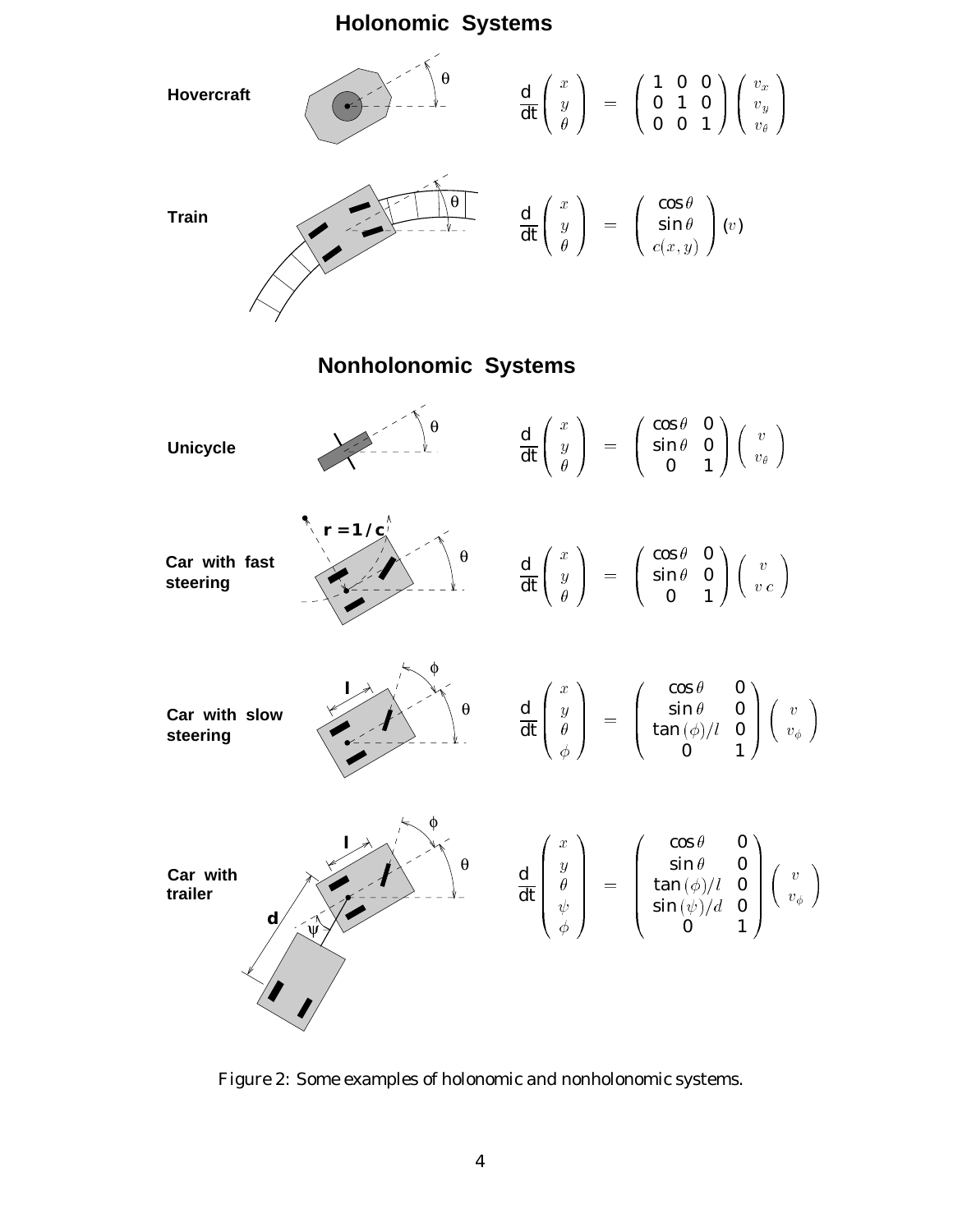



Figure 2: Some examples of holonomic and nonholonomic systems.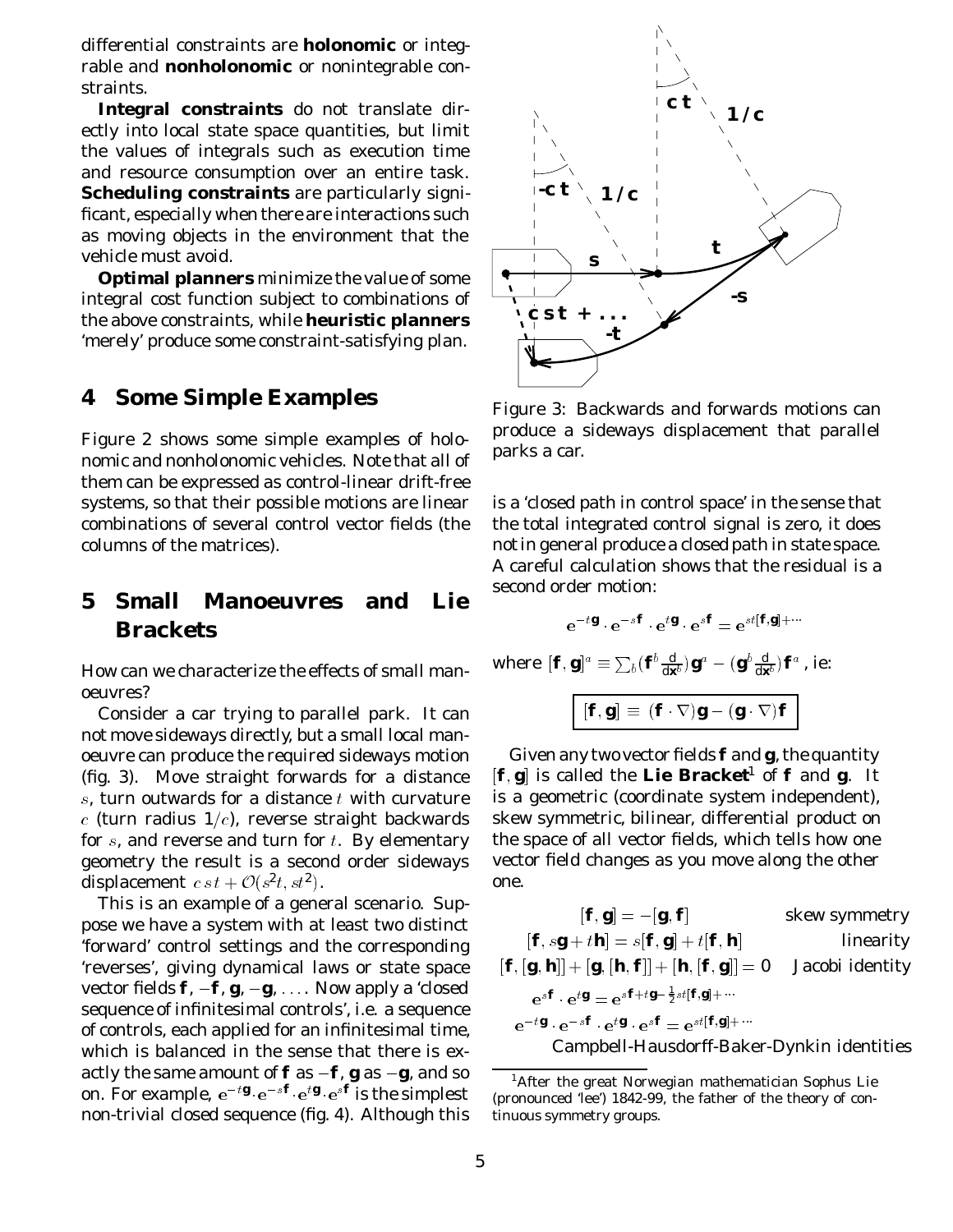differential constraints are **holonomic** or integrable and **nonholonomic** or nonintegrable constraints.

**Integral constraints** do not translate directly into local state space quantities, but limit the values of integrals such as execution time and resource consumption over an entire task. **Scheduling constraints** are particularly significant, especially when there are interactions such as moving objects in the environment that the vehicle must avoid.

**Optimal planners** minimize the value of some integral cost function subject to combinations of the above constraints, while **heuristic planners** 'merely' produce *some* constraint-satisfying plan.

#### **4 Some Simple Examples**

Figure 2 shows some simple examples of holonomic and nonholonomic vehicles. Note that all of them can be expressed as control-linear drift-free systems, so that their possible motions are linear combinations of several control vector fields (the columns of the matrices).

## **5 Small Manoeuvres and Lie Brackets**

How can we characterize the effects of small manoeuvres?

Consider a car trying to parallel park. It can not move sideways directly, but a small local manoeuvre can produce the required sideways motion (fig. 3). Move straight forwards for a distance  $s$ , turn outwards for a distance  $t$  with curvature  $c$  (turn radius 1/ $c$ ), reverse straight backwards for  $s$ , and reverse and turn for  $t$ . By elementary geometry the result is a second order sideways displacement  $c \, s \, t + \mathcal{O}(s^2 t, s t^2)$ .

This is an example of a general scenario. Suppose we have a system with at least two distinct 'forward' control settings and the corresponding 'reverses', giving dynamical laws or state space vector fields  $f, -f, g, -g, \ldots$  Now apply a 'closed sequence of infinitesimal controls', i.e. a sequence of controls, each applied for an infinitesimal time, which is balanced in the sense that there is exactly the same amount of  $f$  as  $-f$ ,  $g$  as  $-g$ , and so on. For example,  $e^{-t\mathbf{g}} \cdot e^{-s\mathbf{f}} \cdot e^{t\mathbf{g}} \cdot e^{s\mathbf{f}}$  is the simplest non-trivial closed sequence (fig. 4). Although this



Figure 3: Backwards and forwards motions can produce a sideways displacement that parallel parks a car.

is a 'closed path in control space' in the sense that the total integrated control signal is zero, it does *not*in general produce a closed path in state space. A careful calculation shows that the residual is a second order motion:

$$
e^{-t\boldsymbol{g}}\cdot e^{-s\boldsymbol{f}}\cdot e^{t\boldsymbol{g}}\cdot e^{s\boldsymbol{f}}=e^{st[\boldsymbol{f},\boldsymbol{g}]+\cdots}
$$

where  $[\bm{f},\bm{g}]^a\equiv\sum_b(\bm{f}^b\frac{\mathrm{d}}{\mathrm{d}\bm{x}^b})\bm{g}^a-(\bm{g}^b\frac{\mathrm{d}}{\mathrm{d}\bm{x}^b})\bm{f}^a$  , ie:

$$
[\boldsymbol{f},\boldsymbol{g}] \equiv (\boldsymbol{f}\cdot\nabla)\boldsymbol{g} - (\boldsymbol{g}\cdot\nabla)\boldsymbol{f}
$$

Given any two vector fields *f* and *g*, the quantity  $[F, g]$  is called the Lie Bracket<sup>1</sup> of  $f$  and  $g$ . It is a geometric (coordinate system independent), skew symmetric, bilinear, differential product on the space of all vector fields, which tells how one vector field changes as you move along the other one.

$$
[\mathbf{f}, \mathbf{g}] = -[\mathbf{g}, \mathbf{f}] \qquad \text{skew symmetry}
$$
\n
$$
[\mathbf{f}, s\mathbf{g} + t\mathbf{h}] = s[\mathbf{f}, \mathbf{g}] + t[\mathbf{f}, \mathbf{h}] \qquad \text{linearity}
$$
\n
$$
[\mathbf{f}, [\mathbf{g}, \mathbf{h}]] + [\mathbf{g}, [\mathbf{h}, \mathbf{f}]] + [\mathbf{h}, [\mathbf{f}, \mathbf{g}]] = 0 \qquad \text{Jacobi identity}
$$
\n
$$
e^{s\mathbf{f}} \cdot e^{t\mathbf{g}} = e^{s\mathbf{f} + t\mathbf{g} - \frac{1}{2}st[\mathbf{f}, \mathbf{g}] + \cdots}
$$
\n
$$
e^{-t\mathbf{g}} \cdot e^{-s\mathbf{f}} \cdot e^{t\mathbf{g}} \cdot e^{s\mathbf{f}} = e^{st[\mathbf{f}, \mathbf{g}] + \cdots}
$$

Campbell-Hausdorff-Baker-Dynkin identities

After the great Norwegian mathematician Sophus Lie (pronounced 'lee') 1842-99, the father of the theory of continuous symmetry groups.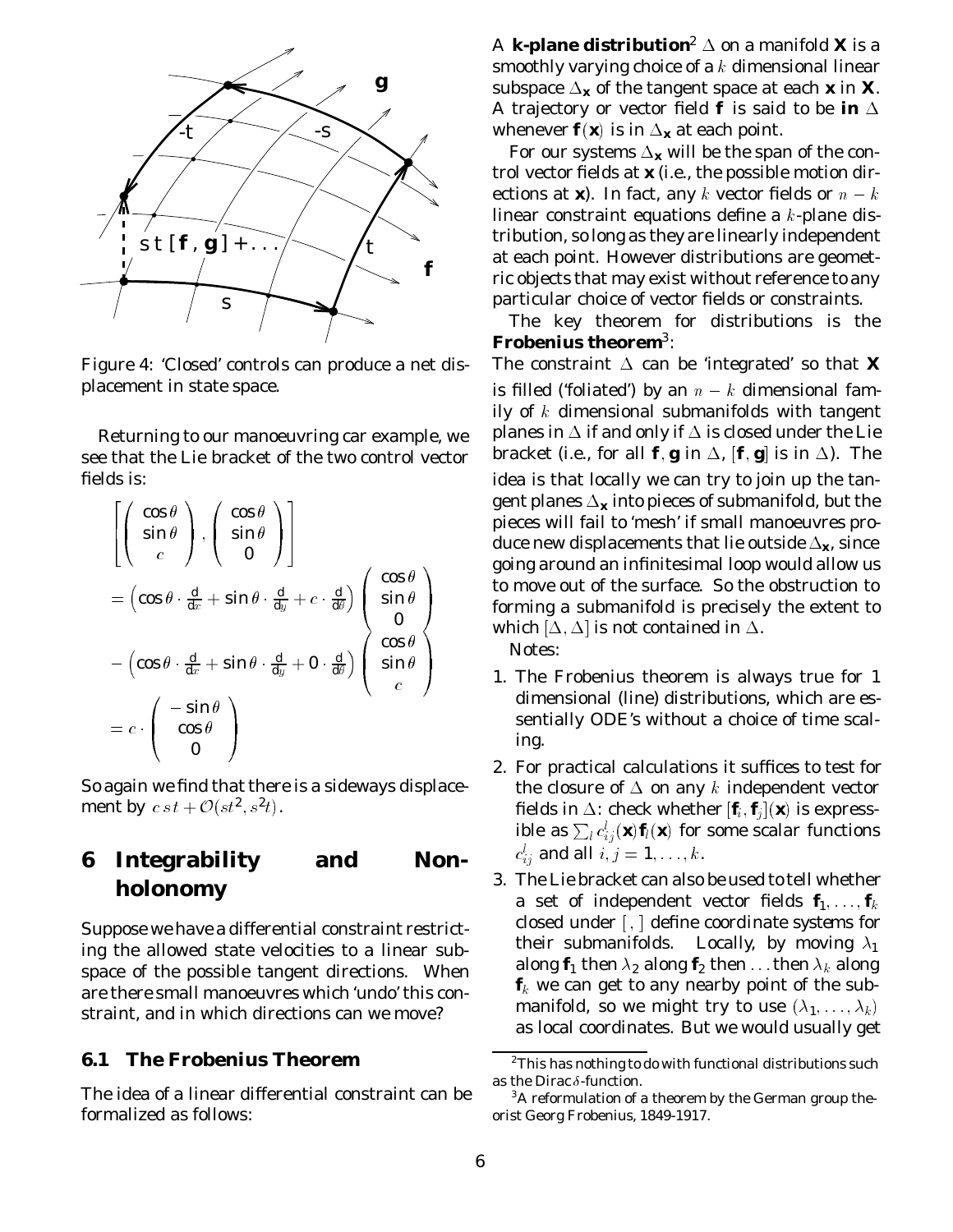

Figure 4: 'Closed' controls can produce a net displacement in state space.

Returning to our manoeuvring car example, we see that the Lie bracket of the two control vector fields is:

$$
\begin{aligned}\n&\left[\begin{pmatrix}\n\cos\theta \\
\sin\theta \\
c\n\end{pmatrix}, \begin{pmatrix}\n\cos\theta \\
\sin\theta \\
0\n\end{pmatrix}\right] \\
&= \begin{pmatrix}\n\cos\theta \cdot \frac{d}{dx} + \sin\theta \cdot \frac{d}{dy} + c \cdot \frac{d}{d\theta}\n\end{pmatrix} \begin{pmatrix}\n\cos\theta \\
\sin\theta \\
0\n\end{pmatrix} \\
&= \begin{pmatrix}\n\cos\theta \cdot \frac{d}{dx} + \sin\theta \cdot \frac{d}{dy} + 0 \cdot \frac{d}{d\theta}\n\end{pmatrix} \begin{pmatrix}\n\cos\theta \\
\sin\theta \\
c\n\end{pmatrix} \\
&= c \cdot \begin{pmatrix}\n-\sin\theta \\
\cos\theta \\
0\n\end{pmatrix}\n\end{aligned}
$$

So again we find that there is a sideways displacement by  $c \, s \, t + \mathcal{O}(st^2, s^2t)$ .

## **6 Integrability and Nonholonomy**

Suppose we have a differential constraint restricting the allowed state velocities to a linear subspace of the possible tangent directions. When are there small manoeuvres which 'undo' this constraint, and in which directions can we move?

#### **6.1 The Frobenius Theorem**

The idea of a linear differential constraint can be formalized as follows:

A *k***-plane distribution<sup>2</sup>**  $\Delta$  **on a manifold X is a** smoothly varying choice of a  $k$  dimensional linear subspace  $\Delta_{\mathbf{x}}$  of the tangent space at each  $\mathbf{x}$  in  $\mathbf{X}$ . A trajectory or vector field  $f$  is said to be in  $\Delta$ whenever  $f(x)$  is in  $\Delta_x$  at each point.

For our systems  $\Delta_{\mathbf{x}}$  will be the span of the control vector fields at *x* (i.e., the possible motion directions at **x**). In fact, any k vector fields or  $n - k$ linear constraint equations define a <sup>k</sup>-plane distribution, so long as they are linearly independent at each point. However distributions are geometric objects that may exist without reference to any particular choice of vector fields or constraints.

The key theorem for distributions is the **Frobenius theorem**3:

The constraint  $\Delta$  can be 'integrated' so that **X** is filled ('foliated') by an  $n - k$  dimensional family of  $k$  dimensional submanifolds with tangent planes in  $\Delta$  if and only if  $\Delta$  is closed under the Lie bracket (i.e., for all  $\bm{f}, \bm{g}$  in  $\Delta$ ,  $[\bm{f}, \bm{g}]$  is in  $\Delta$ ). The idea is that locally we can try to join up the tangent planes  $\Delta_{\mathbf{x}}$  into pieces of submanifold, but the pieces will fail to 'mesh' if small manoeuvres produce new displacements that lie outside  $\Delta_{\mathbf{x}}$ , since going around an infinitesimal loop would allow us to move out of the surface. So the obstruction to forming a submanifold is precisely the extent to which  $[\Delta, \Delta]$  is not contained in  $\Delta.$ 

Notes:

- 1. The Frobenius theorem is always true for 1 dimensional (line) distributions, which are essentially ODE's without a choice of time scaling.
- 2. For practical calculations it suffices to test for the closure of  $\Delta$  on any k independent vector fields in  $\Delta$ : check whether  $[\textbf{\textit{f}}_{i}, \textbf{\textit{f}}_{i}](\textbf{\textit{x}})$  is expressible as  $\sum_l c_{i\,i}^l(\textit{\textbf{x}}) \textit{\textbf{f}}_l(\textit{\textbf{x}})$  for some scalar functions  $c_{i\hspace{0.03cm}i\hspace{0.03cm}i}^l$  and all  $i,j=1,\ldots,k.$
- 3. The Lie bracket can also be used to tell whether a set of independent vector fields  $\textbf{\textit{f}}_1, \ldots, \textbf{\textit{f}}_k$ closed under [ , ] define *coordinate systems* for their submanifolds. Locally, by moving  $\lambda_1$ along  $f_1$  then  $\lambda_2$  along  $f_2$  then  $\ldots$  then  $\lambda_k$  along  $f_k$  we can get to any nearby point of the submanifold, so we might try to use  $(\lambda_1,\ldots,\lambda_k)$ as local coordinates. But we would usually get

<sup>2</sup>This has nothing to do with *functional* distributions such as the Dirac  $\delta$ -function.

 $3A$  reformulation of a theorem by the German group theorist Georg Frobenius, 1849-1917.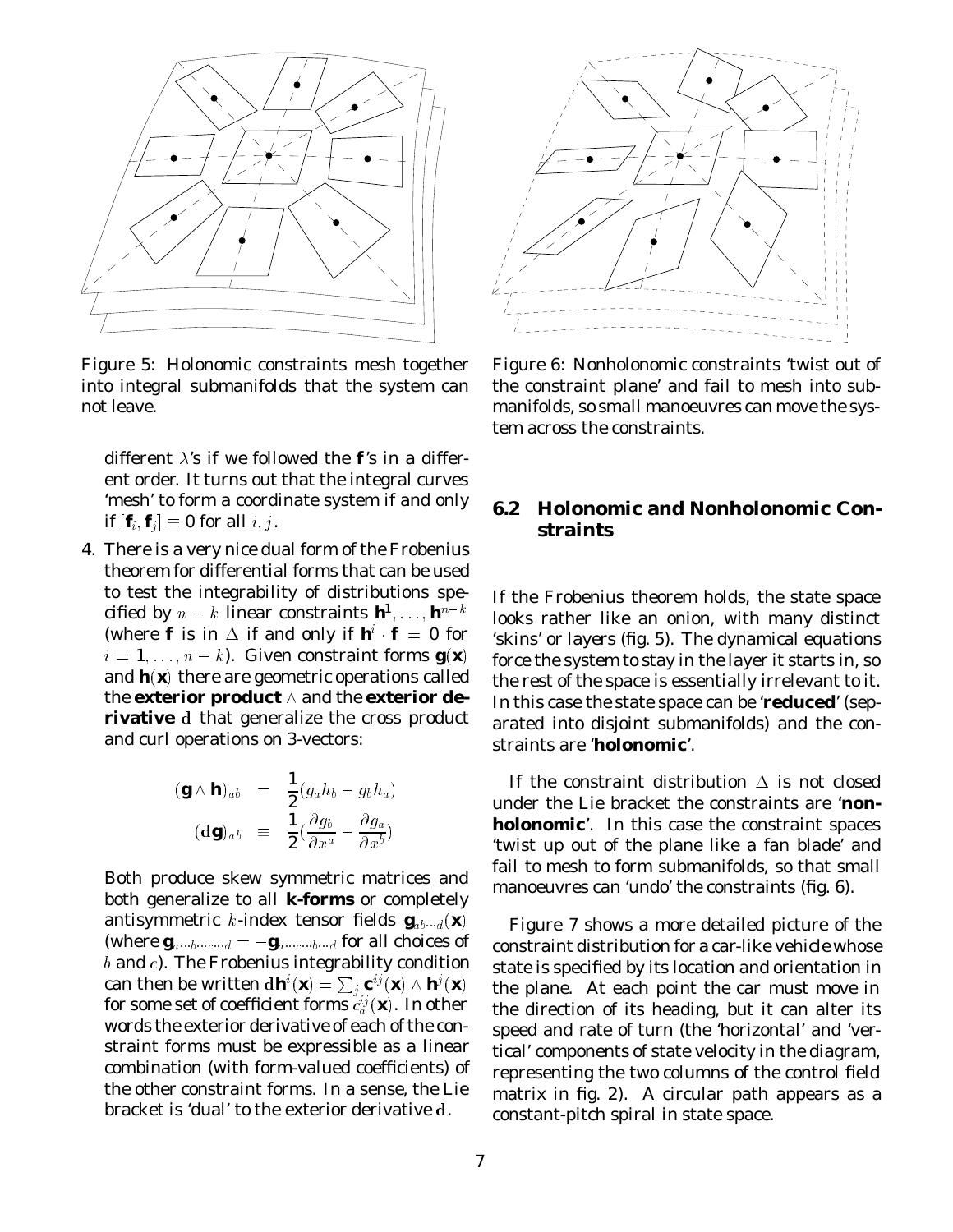

Figure 5: Holonomic constraints mesh together into integral submanifolds that the system can not leave.

different  $\lambda$ 's if we followed the  $\boldsymbol{f}$ 's in a different order. It turns out that the integral curves 'mesh' to form a coordinate system if and only if  $[\mathbf{f}_i, \mathbf{f}_i] \equiv 0$  for all  $i, j$ .

4. There is a very nice dual form of the Frobenius theorem for differential forms that can be used to test the integrability of distributions specified by  $n - k$  linear constraints  $\boldsymbol{h}^{\!\! 1}, \ldots, \boldsymbol{h}^{\! n-k}$ (where  $f$  is in  $\Delta$  if and only if  $\mathbf{h} \cdot \mathbf{f} = 0$  for  $i = 1, \ldots, n - k$ ). Given constraint forms  $\boldsymbol{g}(\boldsymbol{x})$ and  $\mathbf{h}(\mathbf{x})$  there are geometric operations called the **exterior product**  $\wedge$  and the **exterior derivative** <sup>d</sup> that generalize the cross product and curl operations on 3-vectors:

$$
\begin{array}{rcl} (\boldsymbol{g} \wedge \boldsymbol{h})_{ab} & = & \displaystyle \frac{1}{2} (g_a h_b - g_b h_a) \\ (d\boldsymbol{g})_{ab} & \equiv & \displaystyle \frac{1}{2} (\frac{\partial g_b}{\partial x^a} - \frac{\partial g_a}{\partial x^b}) \end{array}
$$

Both produce skew symmetric matrices and both generalize to all *k***-forms** or completely antisymmetric *k*-index tensor fields  $\boldsymbol{g}_{ab\cdots d}(\boldsymbol{x})$ (where  $\mathbf{g}_{a\cdots b\cdots c\cdots d} = -\mathbf{g}_{a\cdots c\cdots b\cdots d}$  for all choices of  $\it{b}$  and  $\it{c}$ ). The Frobenius integrability condition can then be written d $\bm{h}^i(\bm{x}) = \sum_j \bm{c}^{ij}(\bm{x}) \wedge \bm{h}^j(\bm{x})$ for some set of coefficient forms  $c_a^{ij}(\mathbf{x})$ . In other words the exterior derivative of each of the constraint forms must be expressible as a linear combination (with form-valued coefficients) of the other constraint forms. In a sense, the Lie bracket is 'dual' to the exterior derivative <sup>d</sup>.



Figure 6: Nonholonomic constraints 'twist out of the constraint plane' and fail to mesh into submanifolds, so small manoeuvres can move the system across the constraints.

#### **6.2 Holonomic and Nonholonomic Constraints**

If the Frobenius theorem holds, the state space looks rather like an onion, with many distinct 'skins' or layers (fig. 5). The dynamical equations force the system to stay in the layer it starts in, so the rest of the space is essentially irrelevant to it. In this case the state space can be '**reduced**' (separated into disjoint submanifolds) and the constraints are '**holonomic**'.

If the constraint distribution  $\Delta$  is not closed under the Lie bracket the constraints are '**nonholonomic**'. In this case the constraint spaces 'twist up out of the plane like a fan blade' and fail to mesh to form submanifolds, so that small manoeuvres can 'undo' the constraints (fig. 6).

Figure 7 shows a more detailed picture of the constraint distribution for a car-like vehicle whose state is specified by its location and orientation in the plane. At each point the car must move in the direction of its heading, but it can alter its speed and rate of turn (the 'horizontal' and 'vertical' components of state velocity in the diagram, representing the two columns of the control field matrix in fig. 2). A circular path appears as a constant-pitch spiral in state space.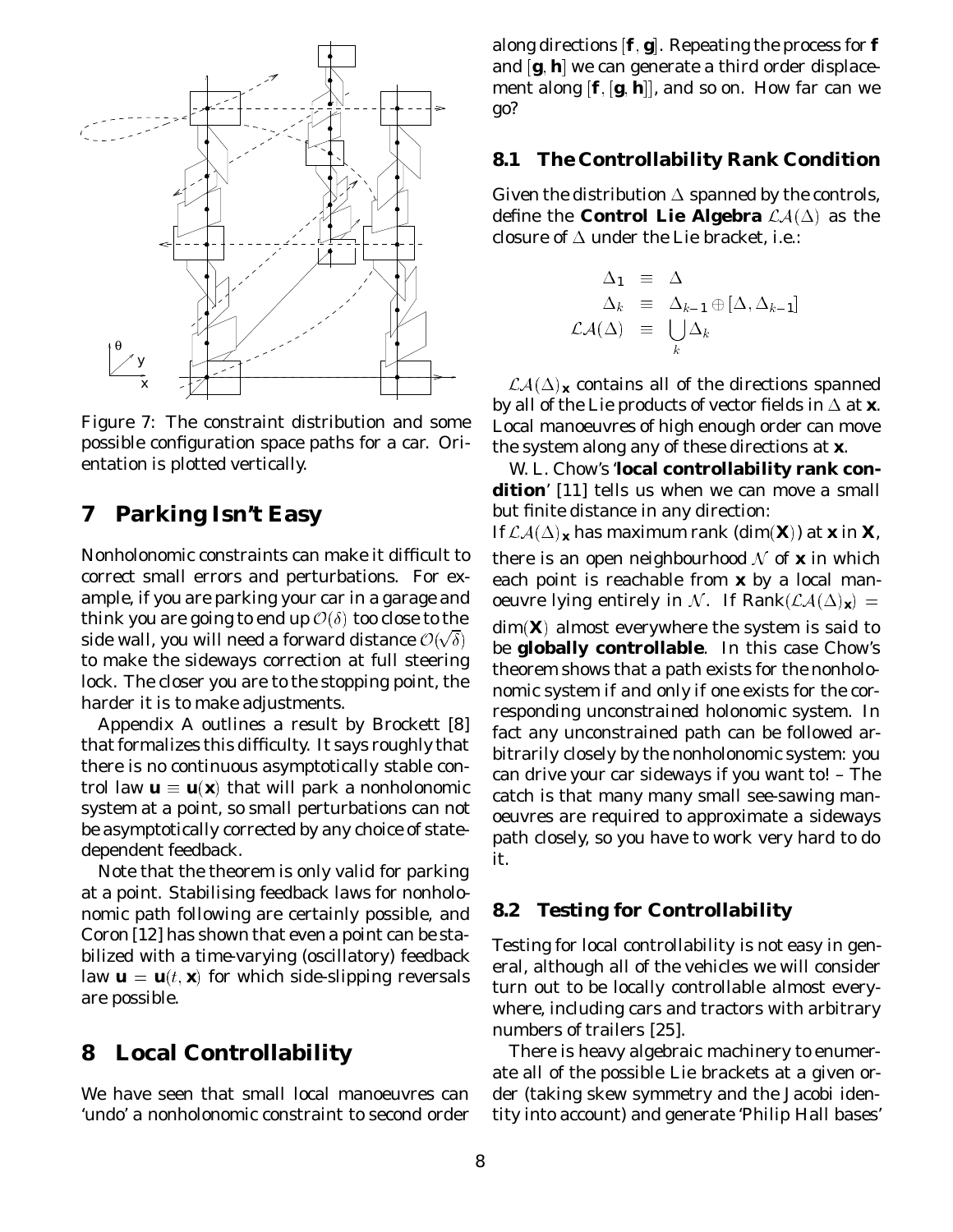

Figure 7: The constraint distribution and some possible configuration space paths for a car. Orientation is plotted vertically.

### **7 Parking Isn't Easy**

Nonholonomic constraints can make it difficult to correct small errors and perturbations. For example, if you are parking your car in a garage and think you are going to end up  $\mathcal{O}(\delta)$  too close to the side wall, you will need a forward distance  $\mathcal{O}(\sqrt{\delta})$ to make the sideways correction at full steering lock. The closer you are to the stopping point, the harder it is to make adjustments.

Appendix A outlines a result by Brockett [8] that formalizes this difficulty. It says roughly that there is *no* continuous asymptotically stable control law  $\mathbf{u} \equiv \mathbf{u}(\mathbf{x})$  that will park a nonholonomic system at a point, so small perturbations *can not* be asymptotically corrected by any choice of statedependent feedback.

Note that the theorem is only valid for parking at a point. Stabilising feedback laws for nonholonomic *path following* are certainly possible, and Coron [12] has shown that even a point can be stabilized with a *time-varying* (oscillatory) feedback law  $\mathbf{u} = \mathbf{u}(t, \mathbf{x})$  for which side-slipping reversals are possible.

### **8 Local Controllability**

We have seen that small local manoeuvres can 'undo' a nonholonomic constraint to second order

along directions  $[\boldsymbol{f}, \boldsymbol{g}]$ . Repeating the process for  $\boldsymbol{f}$ and *[g*, *h*] we can generate a third order displacement along  $[\boldsymbol{f}, [\boldsymbol{g}, \boldsymbol{h}]]$ , and so on. How far can we go?

#### **8.1 The Controllability Rank Condition**

Given the distribution  $\Delta$  spanned by the controls, define the **Control Lie Algebra**  $\mathcal{L}\mathcal{A}(\Delta)$  as the closure of  $\Delta$  under the Lie bracket, i.e.:

$$
\Delta_1 \equiv \Delta \n\Delta_k \equiv \Delta_{k-1} \oplus [\Delta, \Delta_{k-1}] \n\mathcal{LA}(\Delta) \equiv \bigcup_k \Delta_k
$$

 $\mathcal{LA}(\Delta)$ <sub>x</sub> contains all of the directions spanned by all of the Lie products of vector fields in  $\Delta$  at  $\boldsymbol{x}$ . Local manoeuvres of high enough order can move the system along any of these directions at *x*.

W. L. Chow's '**local controllability rank condition**' [11] tells us when we can move a small but finite distance in any direction:

If  $\mathcal{LA}(\Delta)_x$  has maximum rank (dim $(X)$ ) at x in X, there is an open neighbourhood  $\mathcal N$  of  $\boldsymbol x$  in which each point is reachable from *x* by a local manoeuvre lying entirely in N. If Rank $(\mathcal{LA}(\Delta)_x)$  =  $dim(\mathbf{X})$  almost everywhere the system is said to be **globally controllable**. In this case Chow's theorem shows that a path exists for the nonholonomic system *if and only if* one exists for the corresponding *unconstrained* holonomic system. In fact *any* unconstrained path can be followed arbitrarily closely by the nonholonomic system: you can drive your car sideways if you want to! – The catch is that many many small see-sawing manoeuvres are required to approximate a sideways path closely, so you have to work very hard to do it.

#### **8.2 Testing for Controllability**

Testing for local controllability is not easy in general, although all of the vehicles we will consider turn out to be locally controllable almost everywhere, including cars and tractors with arbitrary numbers of trailers [25].

There is heavy algebraic machinery to enumerate all of the possible Lie brackets at a given order (taking skew symmetry and the Jacobi identity into account) and generate 'Philip Hall bases'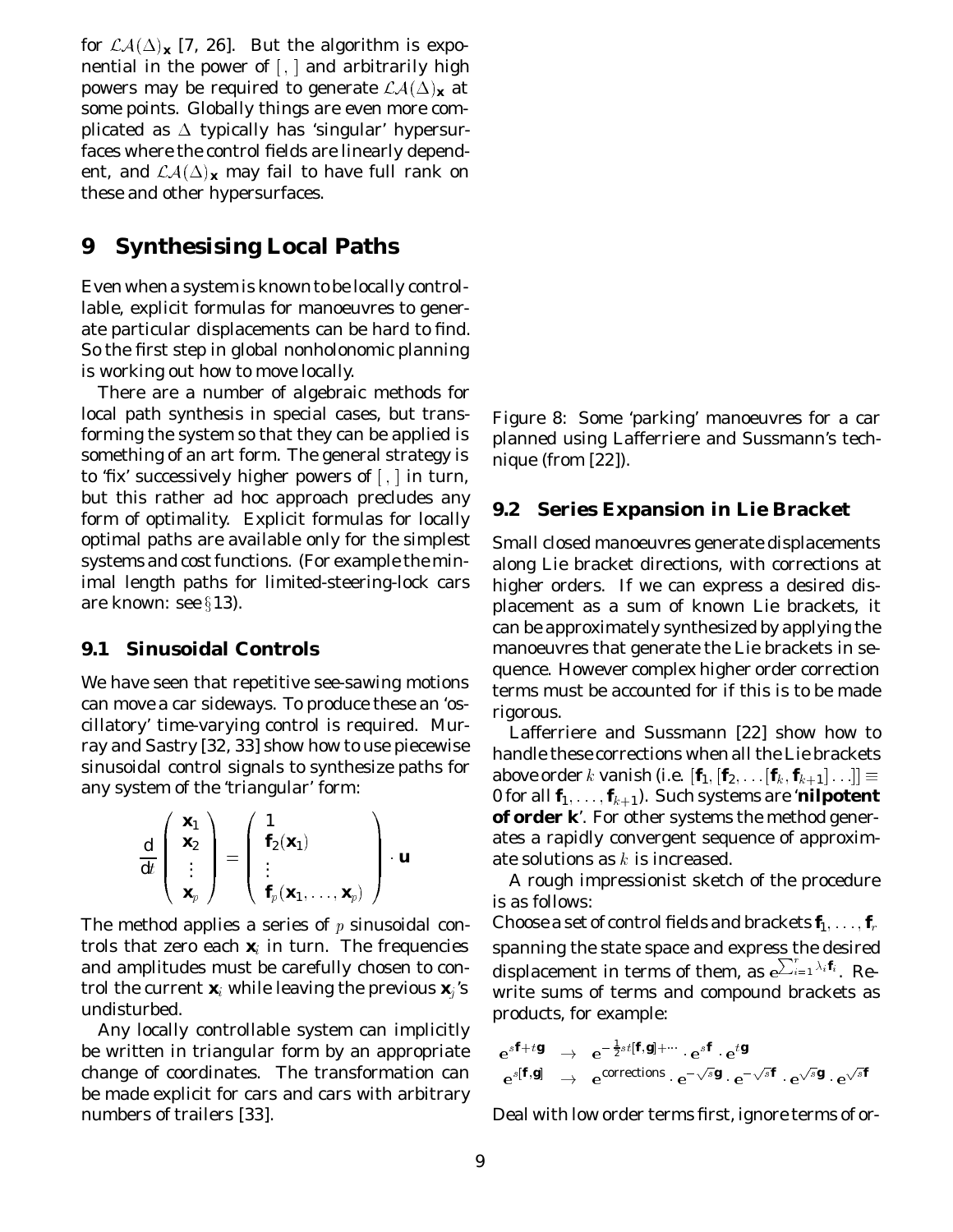for  $\mathcal{LA}(\Delta)_x$  [7, 26]. But the algorithm is exponential in the power of [, ] and *arbitrarily* high powers may be required to generate  $\mathcal{LA}(\Delta)_{\mathbf{x}}$  at some points. Globally things are even more complicated as  $\Delta$  typically has 'singular' hypersurfaces where the control fields are linearly dependent, and  $\mathcal{LA}(\Delta)_{\mathbf{x}}$  may fail to have full rank on these and other hypersurfaces.

### **9 Synthesising Local Paths**

Even when a system is known to be locally controllable, explicit formulas for manoeuvres to generate particular displacements can be hard to find. So the first step in global nonholonomic planning is working out how to move locally.

There are a number of algebraic methods for local path synthesis in special cases, but transforming the system so that they can be applied is something of an art form. The general strategy is to 'fix' successively higher powers of  $[ , ]$  in turn, but this rather ad hoc approach precludes any form of optimality. Explicit formulas for locally optimal paths are available only for the simplest systems and cost functions. (For example the minimal length paths for limited-steering-lock cars are known: see  $\S 13$ ).

#### **9.1 Sinusoidal Controls**

We have seen that repetitive see-sawing motions can move a car sideways. To produce these an 'oscillatory' time-varying control is required. Murray and Sastry [32, 33] show how to use piecewise sinusoidal control signals to synthesize paths for any system of the 'triangular' form:

$$
\frac{\mathrm{d}}{\mathrm{d}t}\left(\begin{array}{c}\mathbf{x}_1\\\mathbf{x}_2\\\vdots\\\mathbf{x}_p\end{array}\right)=\left(\begin{array}{c}1\\\mathbf{f}_2(\mathbf{x}_1)\\\vdots\\\mathbf{f}_p(\mathbf{x}_1,\ldots,\mathbf{x}_p)\end{array}\right)\cdot\boldsymbol{u}
$$

The method applies a series of  $p$  sinusoidal controls that zero each  $x_i$  in turn. The frequencies and amplitudes must be carefully chosen to control the current  $\mathbf{x}_i$  while leaving the previous  $\mathbf{x}_i$ 's undisturbed.

Any locally controllable system can implicitly be written in triangular form by an appropriate change of coordinates. The transformation can be made explicit for cars and cars with arbitrary numbers of trailers [33].

Figure 8: Some 'parking' manoeuvres for a car planned using Lafferriere and Sussmann's technique (from [22]).

#### **9.2 Series Expansion in Lie Bracket**

Small closed manoeuvres generate displacements along Lie bracket directions, with corrections at higher orders. If we can express a desired displacement as a sum of known Lie brackets, it can be approximately synthesized by applying the manoeuvres that generate the Lie brackets in sequence. However complex higher order correction terms must be accounted for if this is to be made rigorous.

Lafferriere and Sussmann [22] show how to handle these corrections when all the Lie brackets above order  $k$  vanish (i.e.  $[\textbf{\textit{f}}_{\textbf{1}}, [\textbf{\textit{f}}_{\textbf{2}}, \text{ } \ldots [\textbf{\textit{f}}_{k}, \textbf{\textit{f}}_{k+1}]\ldots]] \equiv$ 0 for all  $\textbf{\textit{f}}_1, \ldots, \textbf{\textit{f}}_{k+1}$ ). Such systems are '**nilpotent of order** *k*'. For other systems the method generates a rapidly convergent sequence of approximate solutions as  $k$  is increased.

A rough impressionist sketch of the procedure is as follows:

Choose a set of control fields and brackets  $\textbf{\textit{f}}_1, \ldots, \textbf{\textit{f}}_r$ spanning the state space and express the desired displacement in terms of them, as  $e^{\sum_{i=1}^{r} \lambda_i \hat{\pmb{f}}_i}$ . Rewrite sums of terms and compound brackets as products, for example:

$$
\begin{array}{rclcl} \mathbf{e}^{s\boldsymbol{f}+t\boldsymbol{g}} & \to & \mathbf{e}^{-\frac{1}{2}s\,t[\boldsymbol{f},\boldsymbol{g}]+\cdots} \cdot \mathbf{e}^{s\boldsymbol{f}} \cdot \mathbf{e}^{t\boldsymbol{g}} \\ \mathbf{e}^{s[\boldsymbol{f},\boldsymbol{g}]}& \to & \mathbf{e}^{\mathrm{corrections}} \cdot \mathbf{e}^{-\sqrt{s}\boldsymbol{g}} \cdot \mathbf{e}^{-\sqrt{s}\boldsymbol{f}} \cdot \mathbf{e}^{\sqrt{s}\boldsymbol{g}} \cdot \mathbf{e}^{\sqrt{s}\boldsymbol{f}} \end{array}
$$

Deal with low order terms first, ignore terms of or-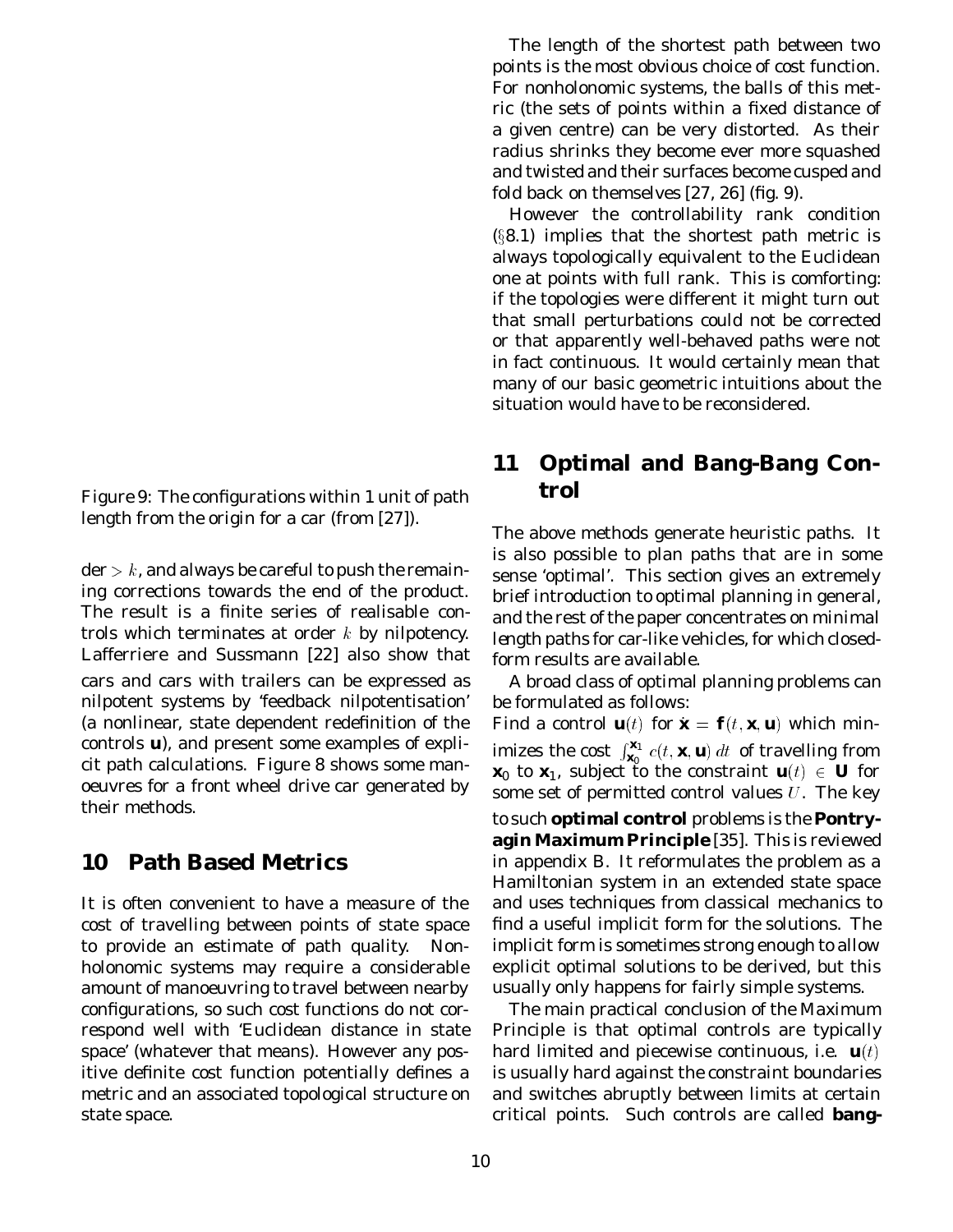Figure 9: The configurations within 1 unit of path length from the origin for a car (from [27]).

 $\mathbf{der} > k$ , and always be careful to push the remaining corrections towards the end of the product. The result is a finite series of realisable controls which terminates at order  $k$  by nilpotency. Lafferriere and Sussmann [22] also show that cars and cars with trailers can be expressed as nilpotent systems by 'feedback nilpotentisation' (a nonlinear, state dependent redefinition of the controls *u*), and present some examples of explicit path calculations. Figure 8 shows some manoeuvres for a front wheel drive car generated by their methods.

## **10 Path Based Metrics**

It is often convenient to have a measure of the cost of travelling between points of state space to provide an estimate of path quality. Nonholonomic systems may require a considerable amount of manoeuvring to travel between nearby configurations, so such cost functions do not correspond well with 'Euclidean distance in state space' (whatever that means). However any positive definite cost function potentially defines a metric and an associated topological structure on state space.

The length of the shortest path between two points is the most obvious choice of cost function. For nonholonomic systems, the balls of this metric (the sets of points within a fixed distance of a given centre) can be very distorted. As their radius shrinks they become ever more squashed and twisted and their surfaces become cusped and fold back on themselves [27, 26] (fig. 9).

However the controllability rank condition  $(\S 8.1)$  implies that the shortest path metric is always topologically equivalent to the Euclidean one at points with full rank. This is comforting: if the topologies were different it might turn out that small perturbations could not be corrected or that apparently well-behaved paths were not in fact continuous. It would certainly mean that many of our basic geometric intuitions about the situation would have to be reconsidered.

## **11 Optimal and Bang-Bang Control**

The above methods generate heuristic paths. It is also possible to plan paths that are in some sense 'optimal'. This section gives an extremely brief introduction to optimal planning in general, and the rest of the paper concentrates on *minimal length* paths for car-like vehicles, for which closedform results are available.

A broad class of optimal planning problems can be formulated as follows:

Find a control  $\mathbf{u}(t)$  for  $\mathbf{x} = \mathbf{f}(t, \mathbf{x}, \mathbf{u})$  which minimizes the cost  $\int_{\mathbf{x}_0}^{x_1}$  $\mathbf{x}_0 \cdot \mathbf{z}_1$  *c*(*t*, *x*, *u*) dt of travelling from  $\mathbf{x}_0$  to  $\mathbf{x}_1$ , subject to the constraint  $\mathbf{u}(t) \in \mathbf{U}$  for some set of permitted control values  $U$ . The key to such **optimal control** problems is the **Pontryagin Maximum Principle** [35]. This is reviewed in appendix B. It reformulates the problem as a Hamiltonian system in an extended state space and uses techniques from classical mechanics to find a useful implicit form for the solutions. The implicit form is sometimes strong enough to allow explicit optimal solutions to be derived, but this usually only happens for fairly simple systems.

The main practical conclusion of the Maximum Principle is that optimal controls are typically hard limited and piecewise continuous, i.e.  $\mathbf{u}(t)$ is usually hard against the constraint boundaries and switches abruptly between limits at certain critical points. Such controls are called **bang-**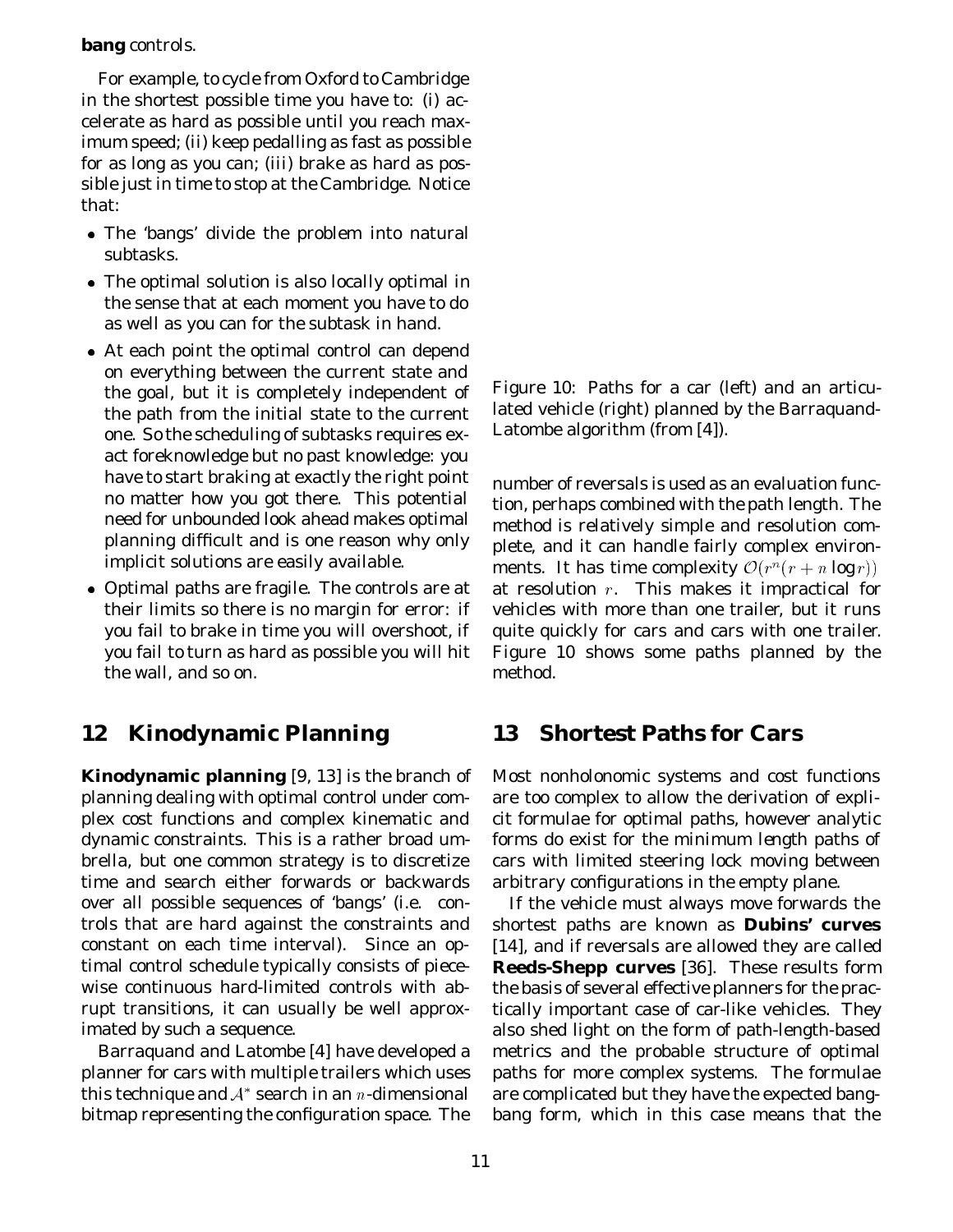#### **bang** controls.

For example, to cycle from Oxford to Cambridge in the shortest possible time you have to: (*i*) accelerate as hard as possible until you reach maximum speed; (*ii*) keep pedalling as fast as possible for as long as you can; (*iii*) brake as hard as possible just in time to stop at the Cambridge. Notice that:

- The 'bangs' divide the problem into natural subtasks.
- The optimal solution is also *locally* optimal in the sense that at each moment you have to do as well as you can for the subtask in hand.
- At each point the optimal control can depend on everything between the current state and the goal, but it is completely independent of the path from the initial state to the current one. So the scheduling of subtasks requires exact foreknowledge but no past knowledge: you have to start braking at exactly the right point no matter how you got there. This potential need for unbounded look ahead makes optimal planning difficult and is one reason why only implicit solutions are easily available.
- Optimal paths are fragile. The controls are at their limits so there is no margin for error: if you fail to brake in time you will overshoot, if you fail to turn as hard as possible you will hit the wall, and so on.

## **12 Kinodynamic Planning**

**Kinodynamic planning** [9, 13] is the branch of planning dealing with optimal control under complex cost functions and complex kinematic and dynamic constraints. This is a rather broad umbrella, but one common strategy is to discretize time and search either forwards or backwards over all possible sequences of 'bangs' (i.e. controls that are hard against the constraints and constant on each time interval). Since an optimal control schedule typically consists of piecewise continuous hard-limited controls with abrupt transitions, it can usually be well approximated by such a sequence.

Barraquand and Latombe [4] have developed a planner for cars with multiple trailers which uses this technique and  $A^*$  search in an n-dimensional bitmap representing the configuration space. The Figure 10: Paths for a car (left) and an articulated vehicle (right) planned by the Barraquand-Latombe algorithm (from [4]).

number of reversals is used as an evaluation function, perhaps combined with the path length. The method is relatively simple and resolution complete, and it can handle fairly complex environments. It has time complexity  $\mathcal{O}(r^n(r+n\log r))$ at resolution  $r$ . This makes it impractical for vehicles with more than one trailer, but it runs quite quickly for cars and cars with one trailer. Figure 10 shows some paths planned by the method.

### **13 Shortest Paths for Cars**

Most nonholonomic systems and cost functions are too complex to allow the derivation of explicit formulae for optimal paths, however analytic forms do exist for the *minimum length* paths of cars with limited steering lock moving between arbitrary configurations in the empty plane.

If the vehicle must always move forwards the shortest paths are known as **Dubins' curves** [14], and if reversals are allowed they are called **Reeds-Shepp curves** [36]. These results form the basis of several effective planners for the practically important case of car-like vehicles. They also shed light on the form of path-length-based metrics and the probable structure of optimal paths for more complex systems. The formulae are complicated but they have the expected bangbang form, which in this case means that the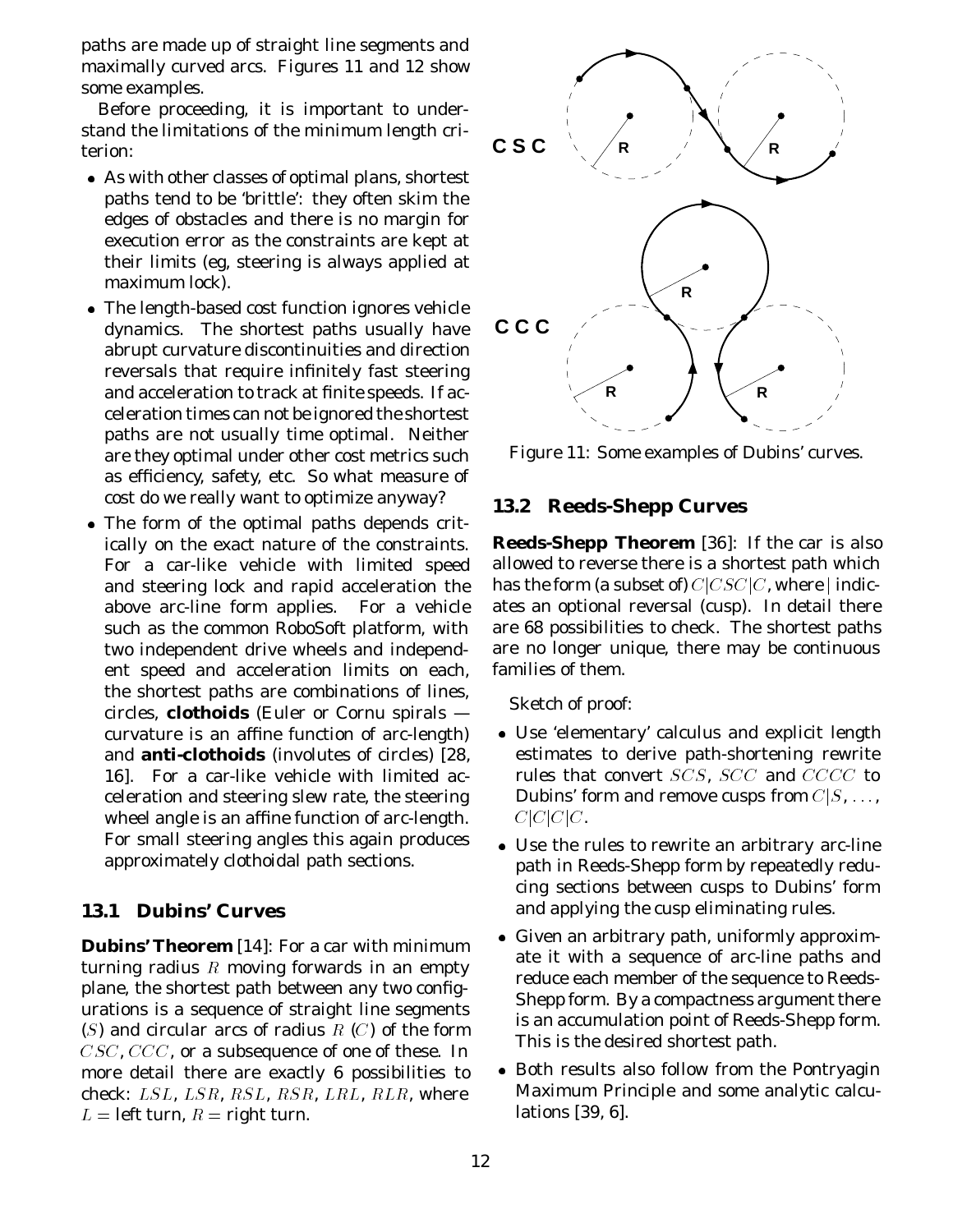paths are made up of straight line segments and maximally curved arcs. Figures 11 and 12 show some examples.

Before proceeding, it is important to understand the limitations of the minimum length criterion:

- As with other classes of optimal plans, shortest paths tend to be 'brittle': they often skim the edges of obstacles and there is no margin for execution error as the constraints are kept at their limits (eg, steering is always applied at maximum lock).
- The length-based cost function ignores vehicle dynamics. The shortest paths usually have abrupt curvature discontinuities and direction reversals that require infinitely fast steering and acceleration to track at finite speeds. If acceleration times can not be ignored the shortest paths are *not* usually time optimal. Neither are they optimal under other cost metrics such as efficiency, safety, etc. So what measure of cost do we really want to optimize anyway?
- The form of the optimal paths depends critically on the exact nature of the constraints. For a car-like vehicle with limited speed and steering lock and rapid acceleration the above arc-line form applies. For a vehicle such as the common RoboSoft platform, with two independent drive wheels and independent speed and acceleration limits on each, the shortest paths are combinations of lines, circles, **clothoids** (Euler or Cornu spirals curvature is an affine function of arc-length) and **anti-clothoids** (involutes of circles) [28, 16]. For a car-like vehicle with limited acceleration and steering slew rate, the steering wheel angle is an affine function of arc-length. For small steering angles this again produces approximately clothoidal path sections.

#### **13.1 Dubins' Curves**

**Dubins' Theorem** [14]: For a car with minimum turning radius  $R$  moving forwards in an empty plane, the shortest path between any two configurations is a sequence of straight line segments (S) and circular arcs of radius  $R(C)$  of the form CSC, CCC, or a subsequence of one of these. In more detail there are exactly 6 possibilities to check: LSL, LSR, RSL, RSR, LRL, RLR, where  $L =$  left turn,  $R =$  right turn.



Figure 11: Some examples of Dubins' curves.

#### **13.2 Reeds-Shepp Curves**

**Reeds-Shepp Theorem** [36]: If the car is also allowed to reverse there is *a* shortest path which has the form (a subset of)  $C|CSC|C$ , where | indicates an optional reversal (cusp). In detail there are 68 possibilities to check. The shortest paths are no longer unique, there may be continuous families of them.

Sketch of proof:

- Use 'elementary' calculus and explicit length estimates to derive path-shortening rewrite rules that convert SCS, SCC and CCCC to Dubins' form and remove cusps from  $C|S, \ldots$ ,  $C|C|C$ .
- Use the rules to rewrite an arbitrary arc-line path in Reeds-Shepp form by repeatedly reducing sections between cusps to Dubins' form and applying the cusp eliminating rules.
- Given an arbitrary path, uniformly approximate it with a sequence of arc-line paths and reduce each member of the sequence to Reeds-Shepp form. By a compactness argument there is an accumulation point of Reeds-Shepp form. This is the desired shortest path.
- Both results also follow from the Pontryagin Maximum Principle and some analytic calculations [39, 6].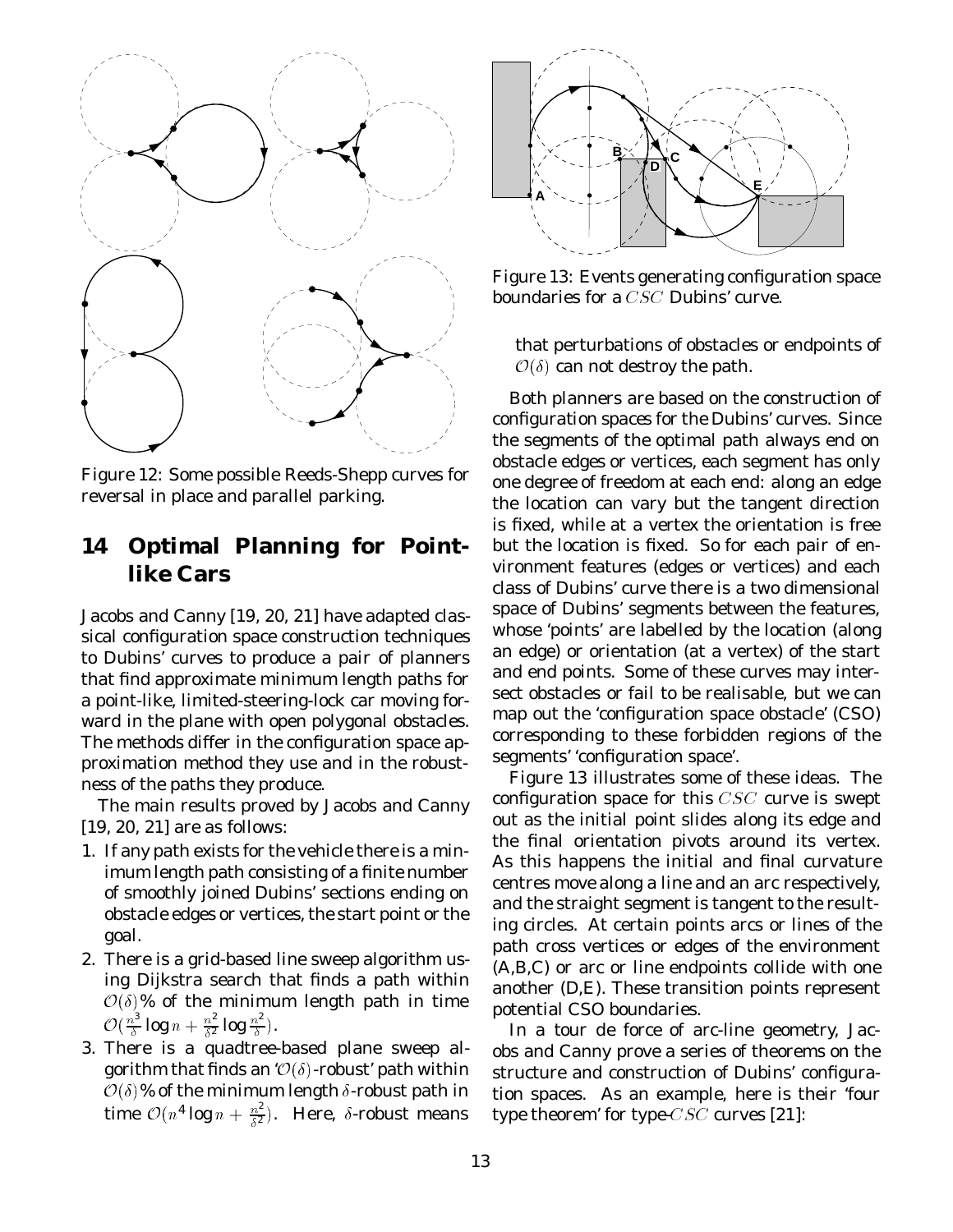

Figure 12: Some possible Reeds-Shepp curves for reversal in place and parallel parking.

## **14 Optimal Planning for Pointlike Cars**

Jacobs and Canny [19, 20, 21] have adapted classical configuration space construction techniques to Dubins' curves to produce a pair of planners that find approximate minimum length paths for a point-like, limited-steering-lock car moving forward in the plane with open polygonal obstacles. The methods differ in the configuration space approximation method they use and in the robustness of the paths they produce.

The main results proved by Jacobs and Canny [19, 20, 21] are as follows:

- 1. If any path exists for the vehicle there is a minimum length path consisting of a finite number of smoothly joined Dubins' sections ending on obstacle edges or vertices, the start point or the goal.
- 2. There is a grid-based line sweep algorithm using Dijkstra search that finds a path within  $\mathcal{O}(\delta)$ % of the minimum length path in time  $\mathcal{O}(\frac{n^3}{\delta}\log n + \frac{n^2}{\delta^2}\log\frac{n^2}{\delta}).$
- 3. There is a quadtree-based plane sweep algorithm that finds an ' $\mathcal{O}(\delta)$ -robust' path within  $\mathcal{O}(\delta)\%$  of the minimum length  $\delta\text{-robust}$  path in time  $\mathcal{O}(n^4 \log n + \frac{n^2}{\delta^2})$ . Here,  $\delta$ -robust means



Figure 13: Events generating configuration space boundaries for a CSC Dubins' curve.

that perturbations of obstacles or endpoints of  $\mathcal{O}(\delta)$  can not destroy the path.

Both planners are based on the construction of *configuration spaces* for the Dubins' curves. Since the segments of the optimal path always end on obstacle edges or vertices, each segment has only one degree of freedom at each end: along an edge the location can vary but the tangent direction is fixed, while at a vertex the orientation is free but the location is fixed. So for each pair of environment features (edges or vertices) and each class of Dubins' curve there is a two dimensional space of Dubins' segments between the features, whose 'points' are labelled by the location (along an edge) or orientation (at a vertex) of the start and end points. Some of these curves may intersect obstacles or fail to be realisable, but we can map out the 'configuration space obstacle' (CSO) corresponding to these forbidden regions of the segments' 'configuration space'.

Figure 13 illustrates some of these ideas. The configuration space for this  $CSC$  curve is swept out as the initial point slides along its edge and the final orientation pivots around its vertex. As this happens the initial and final curvature centres move along a line and an arc respectively, and the straight segment is tangent to the resulting circles. At certain points arcs or lines of the path cross vertices or edges of the environment (A,B,C) or arc or line endpoints collide with one another (D,E). These transition points represent potential CSO boundaries.

In a *tour de force* of arc-line geometry, Jacobs and Canny prove a series of theorems on the structure and construction of Dubins' configuration spaces. As an example, here is their 'four type theorem' for type-CSC curves [21]: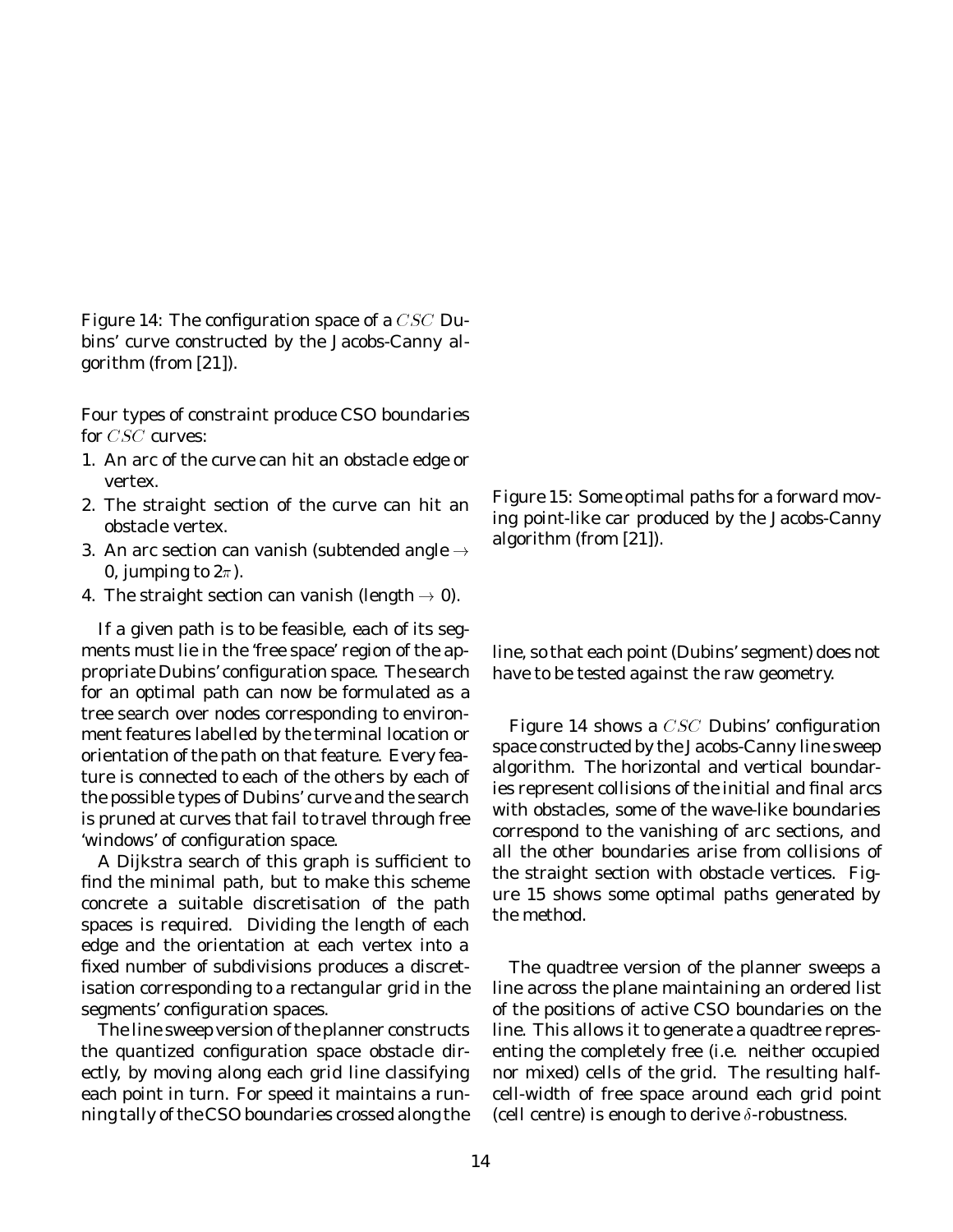Figure 14: The configuration space of a  $CSC$  Dubins' curve constructed by the Jacobs-Canny algorithm (from [21]).

Four types of constraint produce CSO boundaries for CSC curves:

- 1. An arc of the curve can hit an obstacle edge or vertex.
- 2. The straight section of the curve can hit an obstacle vertex.
- 3. An arc section can vanish (subtended angle  $\rightarrow$ 0, jumping to  $2\pi$ ).
- 4. The straight section can vanish (length  $\rightarrow$  0).

If a given path is to be feasible, each of its segments must lie in the 'free space' region of the appropriate Dubins' configuration space. The search for an optimal path can now be formulated as a tree search over nodes corresponding to environment features labelled by the terminal location or orientation of the path on that feature. Every feature is connected to each of the others by each of the possible types of Dubins' curve and the search is pruned at curves that fail to travel through free 'windows' of configuration space.

A Dijkstra search of this graph is sufficient to find the minimal path, but to make this scheme concrete a suitable discretisation of the path spaces is required. Dividing the length of each edge and the orientation at each vertex into a fixed number of subdivisions produces a discretisation corresponding to a rectangular grid in the segments' configuration spaces.

The line sweep version of the planner constructs the quantized configuration space obstacle directly, by moving along each grid line classifying each point in turn. For speed it maintains a running tally of the CSO boundaries crossed along the Figure 15: Some optimal paths for a forward moving point-like car produced by the Jacobs-Canny algorithm (from [21]).

line, so that each point (Dubins' segment) does not have to be tested against the raw geometry.

Figure 14 shows a CSC Dubins' configuration space constructed by the Jacobs-Canny line sweep algorithm. The horizontal and vertical boundaries represent collisions of the initial and final arcs with obstacles, some of the wave-like boundaries correspond to the vanishing of arc sections, and all the other boundaries arise from collisions of the straight section with obstacle vertices. Figure 15 shows some optimal paths generated by the method.

The quadtree version of the planner sweeps a line across the plane maintaining an ordered list of the positions of active CSO boundaries on the line. This allows it to generate a quadtree representing the completely free (i.e. neither occupied nor mixed) cells of the grid. The resulting halfcell-width of free space around each grid point (cell centre) is enough to derive  $\delta$ -robustness.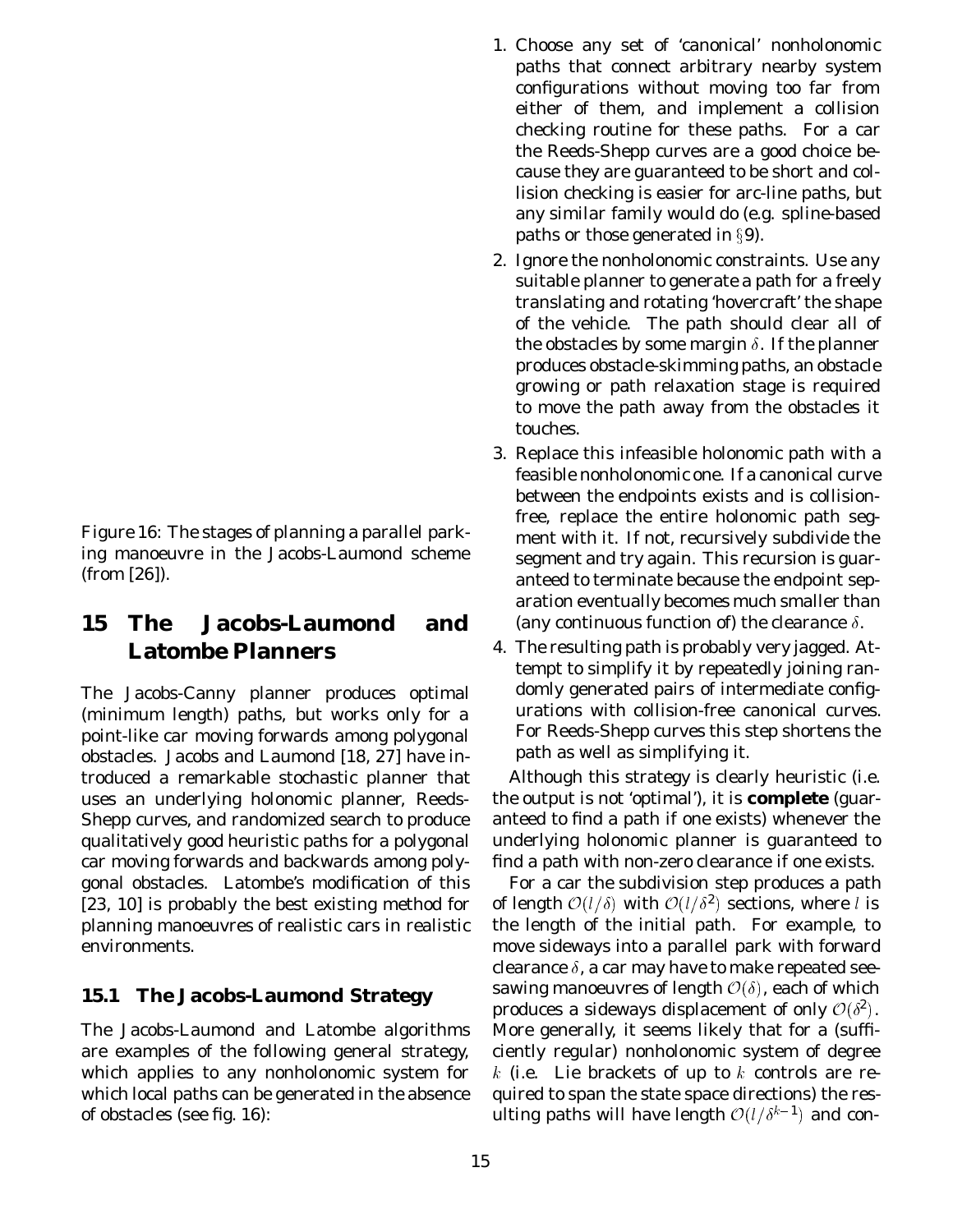Figure 16: The stages of planning a parallel parking manoeuvre in the Jacobs-Laumond scheme (from [26]).

## **15 The Jacobs-Laumond and Latombe Planners**

The Jacobs-Canny planner produces optimal (minimum length) paths, but works only for a point-like car moving forwards among polygonal obstacles. Jacobs and Laumond [18, 27] have introduced a remarkable stochastic planner that uses an underlying *holonomic* planner, Reeds-Shepp curves, and randomized search to produce qualitatively good heuristic paths for a polygonal car moving forwards and backwards among polygonal obstacles. Latombe's modification of this [23, 10] is probably the best existing method for planning manoeuvres of realistic cars in realistic environments.

#### **15.1 The Jacobs-Laumond Strategy**

The Jacobs-Laumond and Latombe algorithms are examples of the following general strategy, which applies to any nonholonomic system for which local paths can be generated in the absence of obstacles (see fig. 16):

- 1. Choose any set of 'canonical' nonholonomic paths that connect arbitrary nearby system configurations without moving too far from either of them, and implement a collision checking routine for these paths. For a car the Reeds-Shepp curves are a good choice because they are guaranteed to be short and collision checking is easier for arc-line paths, but any similar family would do (e.g. spline-based paths or those generated in  $\S$ 9).
- 2. Ignore the nonholonomic constraints. Use any suitable planner to generate a path for a freely translating and rotating 'hovercraft' the shape of the vehicle. The path should clear all of the obstacles by some margin  $\delta$ . If the planner produces obstacle-skimming paths, an obstacle growing or path relaxation stage is required to move the path away from the obstacles it touches.
- 3. Replace this infeasible holonomic path with a feasible nonholonomic one. If a canonical curve between the endpoints exists and is collisionfree, replace the entire holonomic path segment with it. If not, recursively subdivide the segment and try again. This recursion is guaranteed to terminate because the endpoint separation eventually becomes much smaller than (any continuous function of) the clearance  $\delta$ .
- 4. The resulting path is probably very jagged. Attempt to simplify it by repeatedly joining randomly generated pairs of intermediate configurations with collision-free canonical curves. For Reeds-Shepp curves this step shortens the path as well as simplifying it.

Although this strategy is clearly heuristic (i.e. the output is not 'optimal'), it is **complete** (guaranteed to find a path if one exists) whenever the underlying holonomic planner is guaranteed to find a path with non-zero clearance if one exists.

For a car the subdivision step produces a path of length  $O(l/\delta)$  with  $O(l/\delta^2)$  sections, where l is the length of the initial path. For example, to move sideways into a parallel park with forward clearance  $\delta$ , a car may have to make repeated seesawing manoeuvres of length  $\mathcal{O}(\delta)$ , each of which produces a sideways displacement of only  $\mathcal{O}(\delta^2)$ . More generally, it seems likely that for a (sufficiently regular) nonholonomic system of degree k (i.e. Lie brackets of up to k controls are required to span the state space directions) the resulting paths will have length  $O(l/\delta^{k-1})$  and con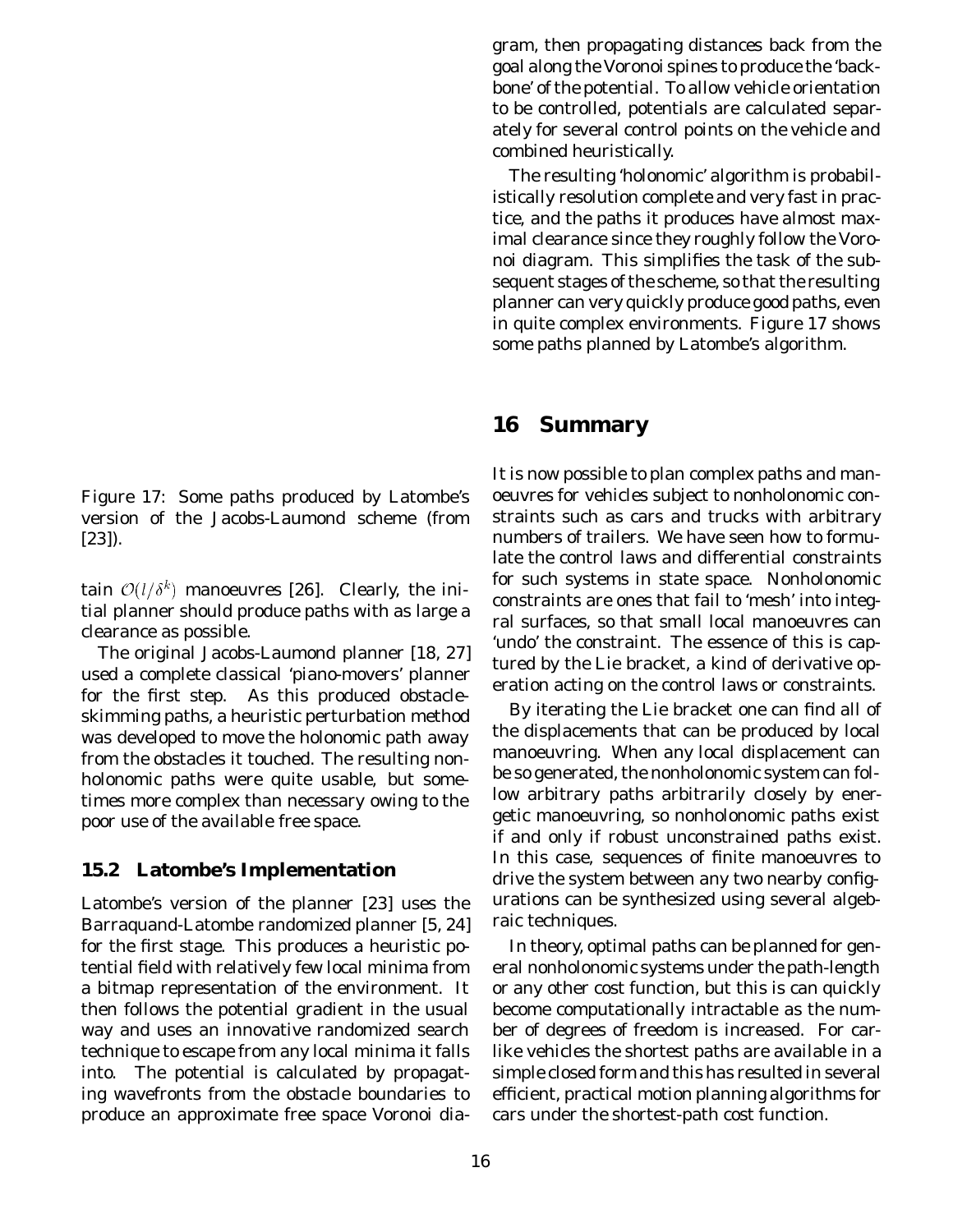Figure 17: Some paths produced by Latombe's version of the Jacobs-Laumond scheme (from [23]).

tain  $\mathcal{O}(l/\delta^k)$  manoeuvres [26]. Clearly, the initial planner should produce paths with as large a clearance as possible.

The original Jacobs-Laumond planner [18, 27] used a complete classical 'piano-movers' planner for the first step. As this produced obstacleskimming paths, a heuristic perturbation method was developed to move the holonomic path away from the obstacles it touched. The resulting nonholonomic paths were quite usable, but sometimes more complex than necessary owing to the poor use of the available free space.

#### **15.2 Latombe's Implementation**

Latombe's version of the planner [23] uses the Barraquand-Latombe randomized planner [5, 24] for the first stage. This produces a heuristic potential field with relatively few local minima from a bitmap representation of the environment. It then follows the potential gradient in the usual way and uses an innovative randomized search technique to escape from any local minima it falls into. The potential is calculated by propagating wavefronts from the obstacle boundaries to produce an approximate free space Voronoi diagram, then propagating distances back from the goal along the Voronoi spines to produce the 'backbone' of the potential. To allow vehicle orientation to be controlled, potentials are calculated separately for several control points on the vehicle and combined heuristically.

The resulting 'holonomic' algorithm is probabilistically resolution complete and very fast in practice, and the paths it produces have almost maximal clearance since they roughly follow the Voronoi diagram. This simplifies the task of the subsequent stages of the scheme, so that the resulting planner can very quickly produce good paths, even in quite complex environments. Figure 17 shows some paths planned by Latombe's algorithm.

### **16 Summary**

It is now possible to plan complex paths and manoeuvres for vehicles subject to nonholonomic constraints such as cars and trucks with arbitrary numbers of trailers. We have seen how to formulate the control laws and differential constraints for such systems in state space. Nonholonomic constraints are ones that fail to 'mesh' into integral surfaces, so that small local manoeuvres can 'undo' the constraint. The essence of this is captured by the Lie bracket, a kind of derivative operation acting on the control laws or constraints.

By iterating the Lie bracket one can find all of the displacements that can be produced by local manoeuvring. When *any* local displacement can be so generated, the nonholonomic system can follow arbitrary paths arbitrarily closely by energetic manoeuvring, so nonholonomic paths exist if and only if robust *unconstrained* paths exist. In this case, sequences of finite manoeuvres to drive the system between any two nearby configurations can be synthesized using several algebraic techniques.

In theory, optimal paths can be planned for general nonholonomic systems under the path-length or any other cost function, but this is can quickly become computationally intractable as the number of degrees of freedom is increased. For carlike vehicles the shortest paths are available in a simple closed form and this has resulted in several efficient, practical motion planning algorithms for cars under the shortest-path cost function.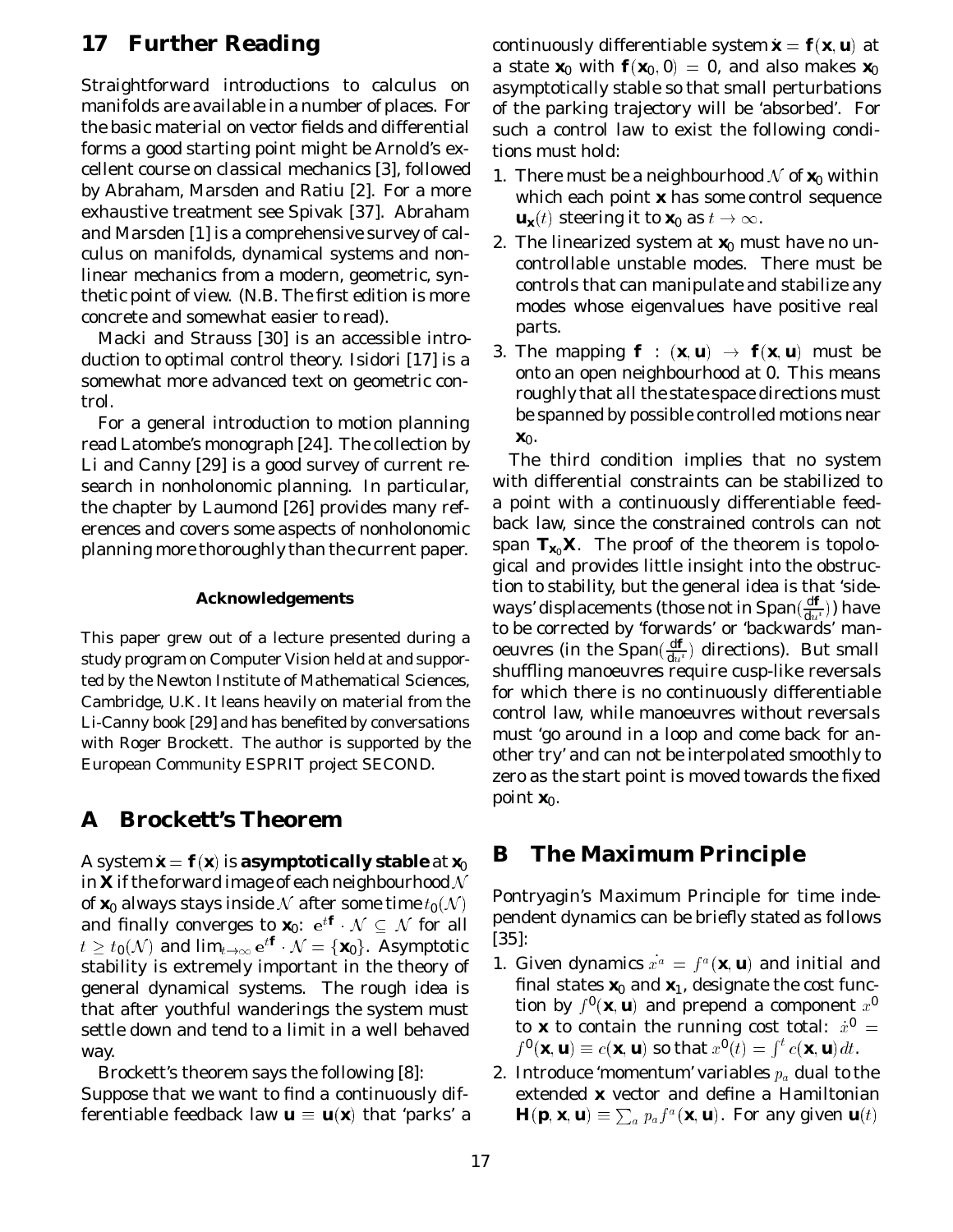## **17 Further Reading**

Straightforward introductions to calculus on manifolds are available in a number of places. For the basic material on vector fields and differential forms a good starting point might be Arnold's excellent course on classical mechanics [3], followed by Abraham, Marsden and Ratiu [2]. For a more exhaustive treatment see Spivak [37]. Abraham and Marsden [1] is a comprehensive survey of calculus on manifolds, dynamical systems and nonlinear mechanics from a modern, geometric, synthetic point of view. (*N.B.* The first edition is more concrete and somewhat easier to read).

Macki and Strauss [30] is an accessible introduction to optimal control theory. Isidori [17] is a somewhat more advanced text on geometric control.

For a general introduction to motion planning read Latombe's monograph [24]. The collection by Li and Canny [29] is a good survey of current research in nonholonomic planning. In particular, the chapter by Laumond [26] provides many references and covers some aspects of nonholonomic planning more thoroughly than the current paper.

#### **Acknowledgements**

This paper grew out of a lecture presented during a study program on Computer Vision held at and supported by the Newton Institute of Mathematical Sciences, Cambridge, U.K. It leans heavily on material from the Li-Canny book [29] and has benefited by conversations with Roger Brockett. The author is supported by the European Community ESPRIT project SECOND.

### **A Brockett's Theorem**

A system  $\boldsymbol{x} = \boldsymbol{f}(\boldsymbol{x})$  is **asymptotically stable** at  $\boldsymbol{x_0}$ in **X** if the forward image of each neighbourhood  $\mathcal N$ of  $\mathbf{x}_0$  always stays inside N after some time  $t_0(\mathcal{N})$ and finally converges to  $\mathbf{x}_0$ :  $e^{t\mathbf{f}} \cdot \mathcal{N} \subseteq \mathcal{N}$  for all  $t\geq t_{\mathbf{0}}(\mathcal{N})$  and  $\lim_{t\to\infty}\mathbf{e}^{t\boldsymbol{f}}\cdot \mathcal{N}=\{\textbf{\textit{x}}_0\}.$  Asymptotic stability is extremely important in the theory of general dynamical systems. The rough idea is that after youthful wanderings the system must settle down and tend to a limit in a well behaved way.

Brockett's theorem says the following [8]: Suppose that we want to find a continuously differentiable feedback law  $\mathbf{u} \equiv \mathbf{u}(\mathbf{x})$  that 'parks' a

continuously differentiable system  $\mathbf{x} = \mathbf{f}(\mathbf{x}, \mathbf{u})$  at a state  $\mathbf{x}_0$  with  $\mathbf{f}(\mathbf{x}_0,0) = 0$ , and also makes  $\mathbf{x}_0$ asymptotically stable so that small perturbations of the parking trajectory will be 'absorbed'. For such a control law to exist the following conditions must hold:

- 1. There must be a neighbourhood  $\mathcal N$  of  $\mathbf x_0$  within which each point *x* has *some* control sequence  $u_x(t)$  steering it to  $x_0$  as  $t \to \infty$ .
- 2. The linearized system at  $x_0$  must have no uncontrollable unstable modes. There must be controls that can manipulate and stabilize any modes whose eigenvalues have positive real parts.
- 3. The mapping  $\boldsymbol{f}$  :  $(\boldsymbol{x}, \boldsymbol{u}) \rightarrow \boldsymbol{f}(\boldsymbol{x}, \boldsymbol{u})$  must be onto an open neighbourhood at 0. This means roughly that *all* the state space directions must be spanned by possible controlled motions near  $x_0$ .

The third condition implies that *no* system with differential constraints can be stabilized to a point with a continuously differentiable feedback law, since the constrained controls can not span  $T_{x_0}X$ . The proof of the theorem is topological and provides little insight into the obstruction to stability, but the general idea is that 'sideways' displacements (those not in Span $(\frac{\mathbf{d} \boldsymbol{f}}{\mathbf{d} u^{t}}))$  have to be corrected by 'forwards' or 'backwards' manoeuvres (in the  $\text{Span}(\frac{df}{du})$  directions). But small shuffling manoeuvres require cusp-like reversals for which there is no continuously differentiable control law, while manoeuvres without reversals must 'go around in a loop and come back for another try' and can not be interpolated smoothly to zero as the start point is moved towards the fixed point  $\mathbf{x}_0$ .

### **B The Maximum Principle**

Pontryagin's Maximum Principle for time independent dynamics can be briefly stated as follows [35]:

- 1. Given dynamics  $x^a = f^a(\mathbf{x}, \mathbf{u})$  and initial and final states  $\mathbf{x}_0$  and  $\mathbf{x}_1$ , designate the cost function by  $f^{\mathbf{0}}(\textbf{\textit{x}},\textbf{\textit{u}})$  and prepend a component  $x^{\mathbf{0}}$ to  $\bm{x}$  to contain the running cost total:  $\dot{x}^{\bm{0}}$  =  $f^{\mathbf{0}}(\mathbf{x}, \mathbf{u}) \equiv c(\mathbf{x}, \mathbf{u})$  so that  $x^{\mathbf{0}}(t) = \int^t c(\mathbf{x}, \mathbf{u}) dt$ .
- 2. Introduce 'momentum' variables  $p_a$  dual to the extended *x* vector and define a Hamiltonian  $\bm{H}(\bm{p},\bm{x},\bm{u})\equiv\sum_{a}p_{a}f^{a}(\bm{x},\bm{u})$ . For any given  $\bm{u}(t)$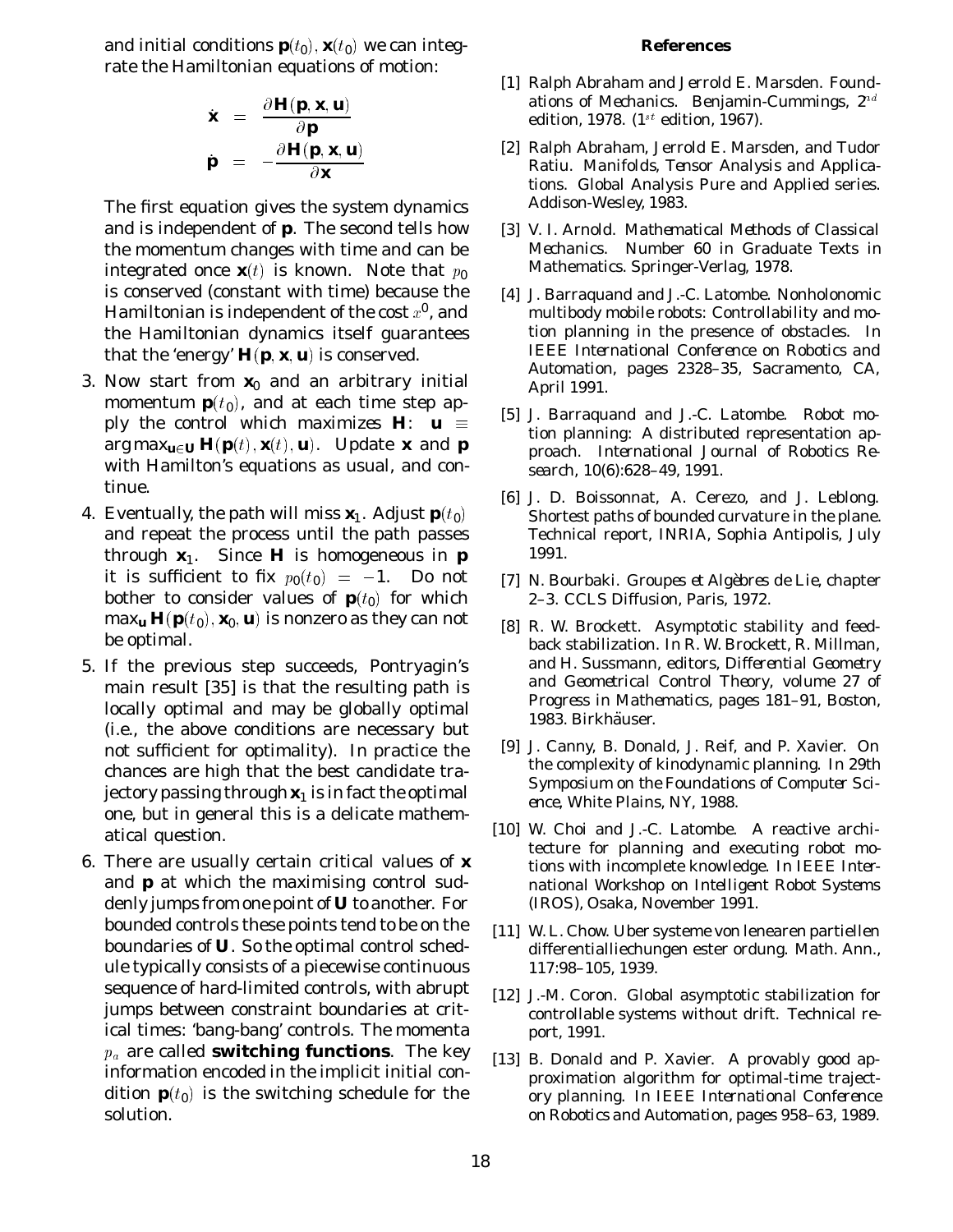and initial conditions  $\bm{p}(t_0)$  ,  $\bm{x}(t_0)$  we can integrate the Hamiltonian equations of motion:

$$
\dot{\mathbf{x}} = \frac{\partial \mathbf{H}(\mathbf{p}, \mathbf{x}, \mathbf{u})}{\partial \mathbf{p}} \n\mathbf{p} = -\frac{\partial \mathbf{H}(\mathbf{p}, \mathbf{x}, \mathbf{u})}{\partial \mathbf{x}}
$$

The first equation gives the system dynamics and is independent of *p*. The second tells how the momentum changes with time and can be integrated once  $\mathbf{x}(t)$  is known. Note that  $p_0$ is conserved (constant with time) because the Hamiltonian is independent of the cost  $x^0$ , and the Hamiltonian dynamics itself guarantees that the 'energy'  $H(p, x, u)$  is conserved.

- 3. Now start from  $x_0$  and an arbitrary initial momentum  $\boldsymbol{p}(t_0)$ , and at each time step *apply the control which maximizes*  $H: u \equiv$  $\arg\max_{\boldsymbol{u}\in\boldsymbol{U}}\boldsymbol{H}(\boldsymbol{p}(t),\boldsymbol{x}(t),\boldsymbol{u})$ . Update  $\boldsymbol{x}$  and  $\boldsymbol{p}$ with Hamilton's equations as usual, and continue.
- 4. Eventually, the path will miss  $\bm{x}_{\text{l}}$ . Adjust  $\bm{p}(t_{\text{0}})$ and repeat the process until the path passes through  $x_1$ . Since *H* is homogeneous in *p* it is sufficient to fix  $p_{\bf 0}(t_{\bf 0})~=~-1.$  Do not bother to consider values of  $p(t_0)$  for which  $\max_{\bm{u}} \bm{H}(\bm{p}(t_0),\bm{x}_0,\bm{u})$  is nonzero as they can not be optimal.
- 5. If the previous step succeeds, Pontryagin's main result [35] is that the resulting path is locally optimal and *may* be globally optimal (i.e., the above conditions are necessary but not sufficient for optimality). In practice the chances are high that the best candidate trajectory passing through  $x_1$  is in fact the optimal one, but in general this is a delicate mathematical question.
- 6. There are usually certain critical values of *x* and *p* at which the maximising control suddenly jumps from one point of *U* to another. For bounded controls these points tend to be on the boundaries of *U*. So the optimal control schedule typically consists of a piecewise continuous sequence of hard-limited controls, with abrupt jumps between constraint boundaries at critical times: 'bang-bang' controls. The momenta  $p_a$  are called **switching functions**. The key information encoded in the implicit initial condition  $\boldsymbol{p}(t_0)$  is the switching schedule for the solution.

#### **References**

- [1] Ralph Abraham and Jerrold E. Marsden. *Foundations of Mechanics*. Benjamin-Cummings, 2nd edition, 1978.  $(1^{st}$  edition, 1967).
- [2] Ralph Abraham, Jerrold E. Marsden, and Tudor Ratiu. *Manifolds, Tensor Analysis and Applications*. Global Analysis Pure and Applied series. Addison-Wesley, 1983.
- [3] V. I. Arnold. *Mathematical Methods of Classical Mechanics*. Number 60 in Graduate Texts in Mathematics. Springer-Verlag, 1978.
- [4] J. Barraquand and J.-C. Latombe. Nonholonomic multibody mobile robots: Controllability and motion planning in the presence of obstacles. In *IEEE International Conference on Robotics and Automation*, pages 2328–35, Sacramento, CA, April 1991.
- [5] J. Barraquand and J.-C. Latombe. Robot motion planning: A distributed representation approach. *International Journal of Robotics Research*, 10(6):628–49, 1991.
- [6] J. D. Boissonnat, A. Cerezo, and J. Leblong. Shortest paths of bounded curvature in the plane. Technical report, INRIA, Sophia Antipolis, July 1991.
- [7] N. Bourbaki. *Groupes et Alg`ebres de Lie*, chapter 2–3. CCLS Diffusion, Paris, 1972.
- [8] R. W. Brockett. Asymptotic stability and feedback stabilization. In R. W. Brockett, R. Millman, and H. Sussmann, editors, *Differential Geometry and Geometrical Control Theory*, volume 27 of *Progress in Mathematics*, pages 181–91, Boston, 1983. Birkhäuser.
- [9] J. Canny, B. Donald, J. Reif, and P. Xavier. On the complexity of kinodynamic planning. In *29th Symposium on the Foundations of Computer Science*, White Plains, NY, 1988.
- [10] W. Choi and J.-C. Latombe. A reactive architecture for planning and executing robot motions with incomplete knowledge. In *IEEE International Workshop on Intelligent Robot Systems (IROS)*, Osaka, November 1991.
- [11] W. L. Chow. Uber systeme von lenearen partiellen differentialliechungen ester ordung. *Math. Ann.*, 117:98–105, 1939.
- [12] J.-M. Coron. Global asymptotic stabilization for controllable systems without drift. Technical report, 1991.
- [13] B. Donald and P. Xavier. A provably good approximation algorithm for optimal-time trajectory planning. In *IEEE International Conference on Robotics and Automation*, pages 958–63, 1989.